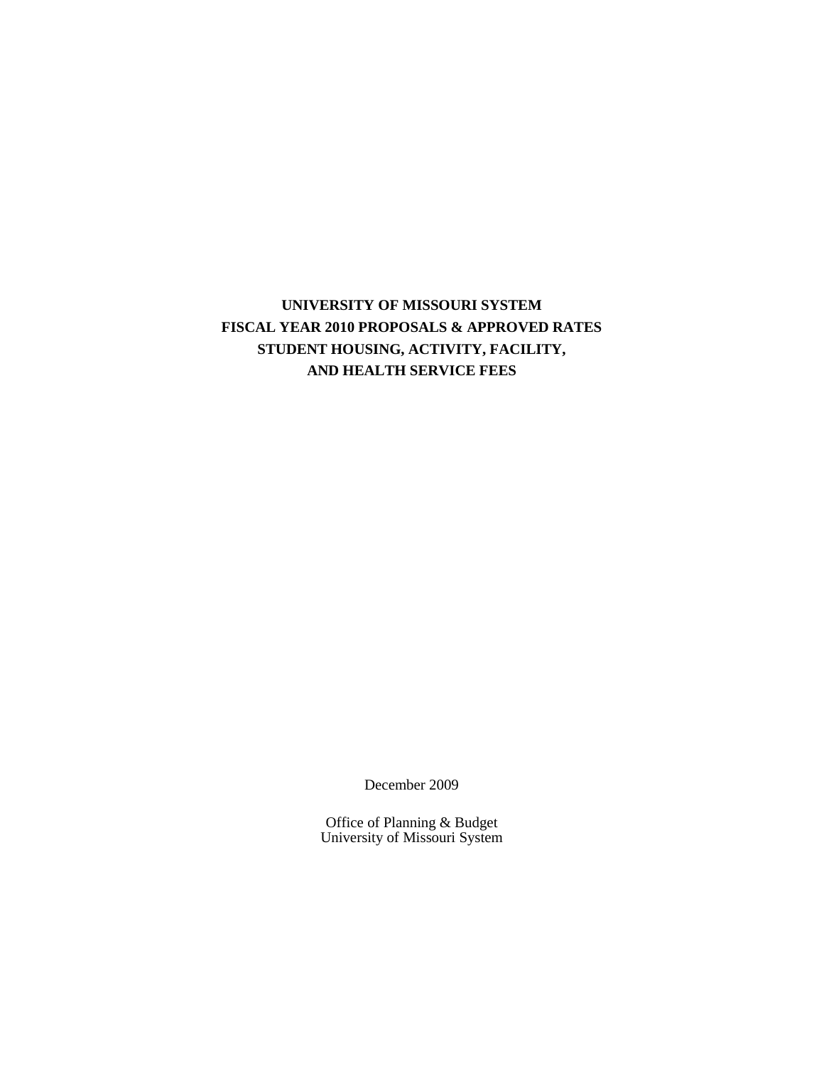# **UNIVERSITY OF MISSOURI SYSTEM FISCAL YEAR 2010 PROPOSALS & APPROVED RATES STUDENT HOUSING, ACTIVITY, FACILITY, AND HEALTH SERVICE FEES**

December 2009

Office of Planning & Budget University of Missouri System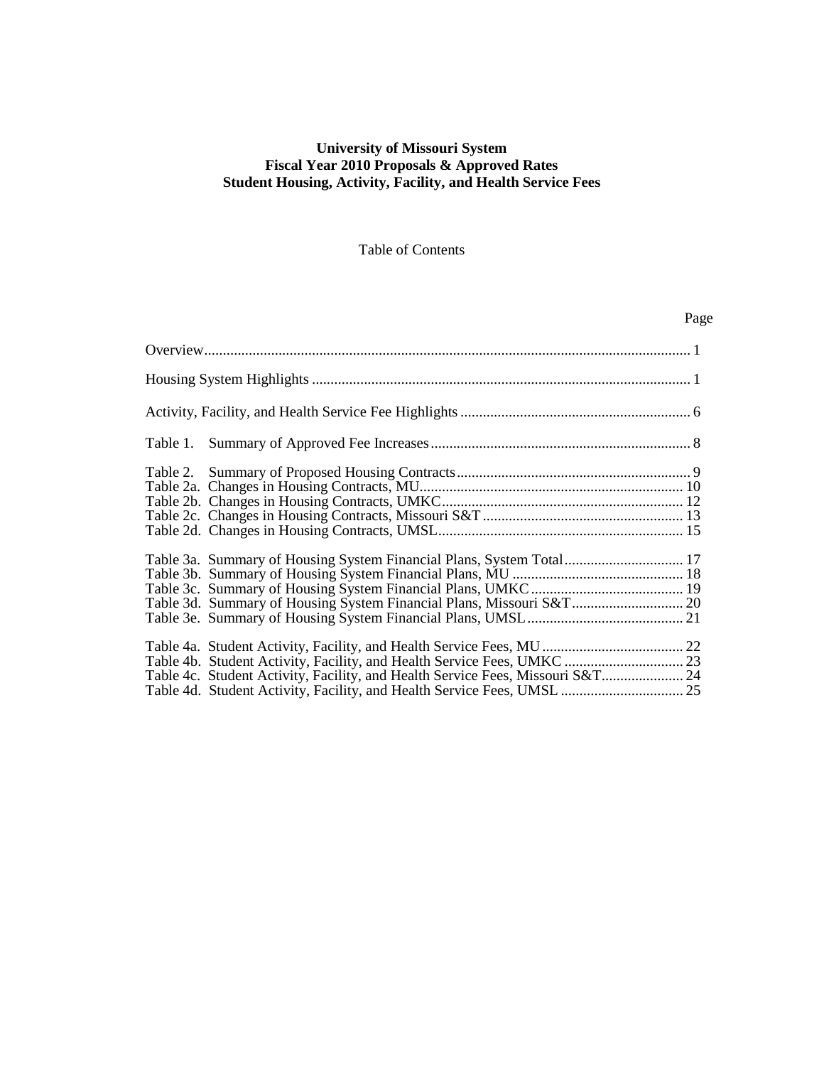## **University of Missouri System Fiscal Year 2010 Proposals & Approved Rates Student Housing, Activity, Facility, and Health Service Fees**

## Table of Contents

Page

| Table 3a. Summary of Housing System Financial Plans, System Total 17           |
|--------------------------------------------------------------------------------|
|                                                                                |
|                                                                                |
| Table 3d. Summary of Housing System Financial Plans, Missouri S&T 20           |
|                                                                                |
|                                                                                |
|                                                                                |
| Table 4c. Student Activity, Facility, and Health Service Fees, Missouri S&T 24 |
| Table 4d. Student Activity, Facility, and Health Service Fees, UMSL  25        |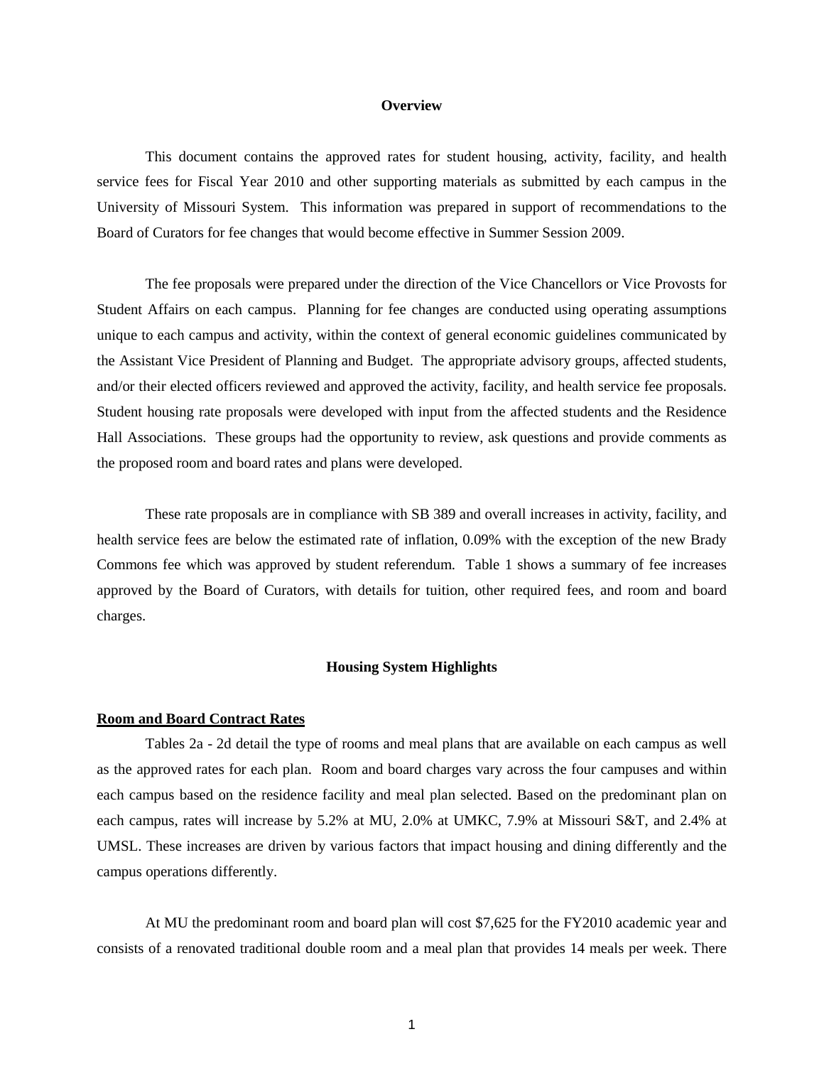#### **Overview**

This document contains the approved rates for student housing, activity, facility, and health service fees for Fiscal Year 2010 and other supporting materials as submitted by each campus in the University of Missouri System. This information was prepared in support of recommendations to the Board of Curators for fee changes that would become effective in Summer Session 2009.

The fee proposals were prepared under the direction of the Vice Chancellors or Vice Provosts for Student Affairs on each campus. Planning for fee changes are conducted using operating assumptions unique to each campus and activity, within the context of general economic guidelines communicated by the Assistant Vice President of Planning and Budget. The appropriate advisory groups, affected students, and/or their elected officers reviewed and approved the activity, facility, and health service fee proposals. Student housing rate proposals were developed with input from the affected students and the Residence Hall Associations. These groups had the opportunity to review, ask questions and provide comments as the proposed room and board rates and plans were developed.

These rate proposals are in compliance with SB 389 and overall increases in activity, facility, and health service fees are below the estimated rate of inflation, 0.09% with the exception of the new Brady Commons fee which was approved by student referendum. Table 1 shows a summary of fee increases approved by the Board of Curators, with details for tuition, other required fees, and room and board charges.

#### **Housing System Highlights**

#### **Room and Board Contract Rates**

Tables 2a - 2d detail the type of rooms and meal plans that are available on each campus as well as the approved rates for each plan. Room and board charges vary across the four campuses and within each campus based on the residence facility and meal plan selected. Based on the predominant plan on each campus, rates will increase by 5.2% at MU, 2.0% at UMKC, 7.9% at Missouri S&T, and 2.4% at UMSL. These increases are driven by various factors that impact housing and dining differently and the campus operations differently.

At MU the predominant room and board plan will cost \$7,625 for the FY2010 academic year and consists of a renovated traditional double room and a meal plan that provides 14 meals per week. There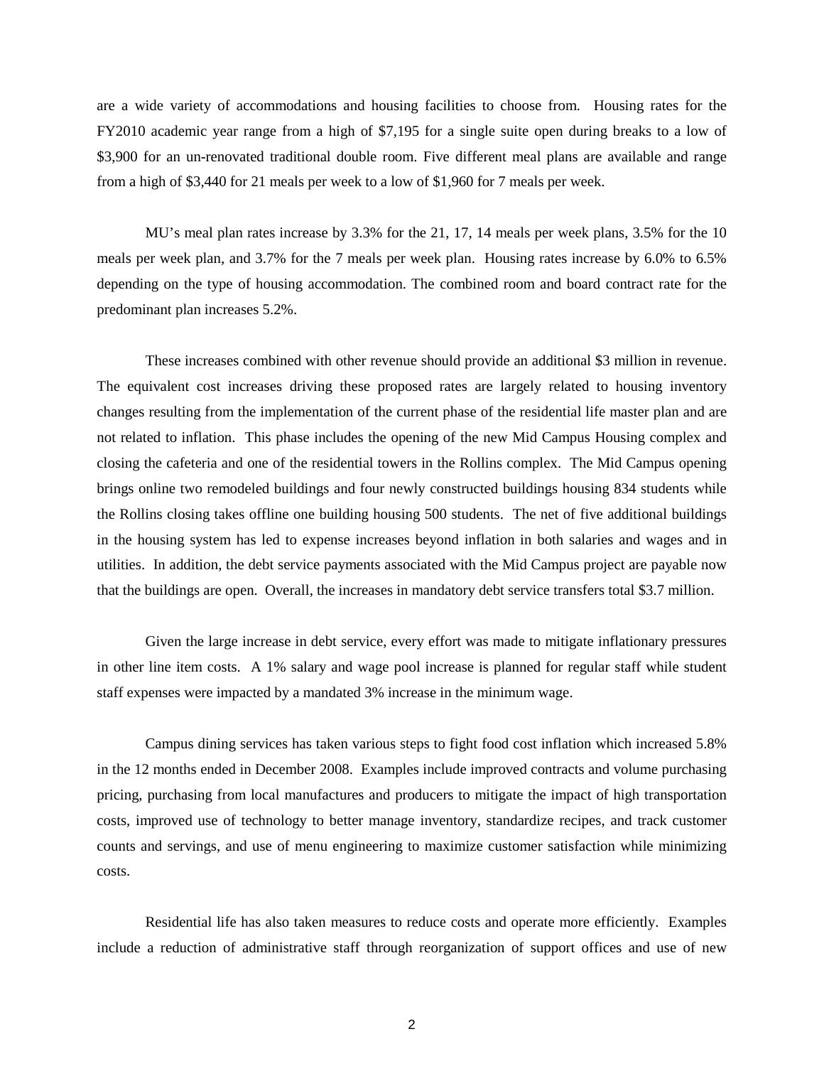are a wide variety of accommodations and housing facilities to choose from. Housing rates for the FY2010 academic year range from a high of \$7,195 for a single suite open during breaks to a low of \$3,900 for an un-renovated traditional double room. Five different meal plans are available and range from a high of \$3,440 for 21 meals per week to a low of \$1,960 for 7 meals per week.

MU's meal plan rates increase by 3.3% for the 21, 17, 14 meals per week plans, 3.5% for the 10 meals per week plan, and 3.7% for the 7 meals per week plan. Housing rates increase by 6.0% to 6.5% depending on the type of housing accommodation. The combined room and board contract rate for the predominant plan increases 5.2%.

These increases combined with other revenue should provide an additional \$3 million in revenue. The equivalent cost increases driving these proposed rates are largely related to housing inventory changes resulting from the implementation of the current phase of the residential life master plan and are not related to inflation. This phase includes the opening of the new Mid Campus Housing complex and closing the cafeteria and one of the residential towers in the Rollins complex. The Mid Campus opening brings online two remodeled buildings and four newly constructed buildings housing 834 students while the Rollins closing takes offline one building housing 500 students. The net of five additional buildings in the housing system has led to expense increases beyond inflation in both salaries and wages and in utilities. In addition, the debt service payments associated with the Mid Campus project are payable now that the buildings are open. Overall, the increases in mandatory debt service transfers total \$3.7 million.

Given the large increase in debt service, every effort was made to mitigate inflationary pressures in other line item costs. A 1% salary and wage pool increase is planned for regular staff while student staff expenses were impacted by a mandated 3% increase in the minimum wage.

Campus dining services has taken various steps to fight food cost inflation which increased 5.8% in the 12 months ended in December 2008. Examples include improved contracts and volume purchasing pricing, purchasing from local manufactures and producers to mitigate the impact of high transportation costs, improved use of technology to better manage inventory, standardize recipes, and track customer counts and servings, and use of menu engineering to maximize customer satisfaction while minimizing costs.

Residential life has also taken measures to reduce costs and operate more efficiently. Examples include a reduction of administrative staff through reorganization of support offices and use of new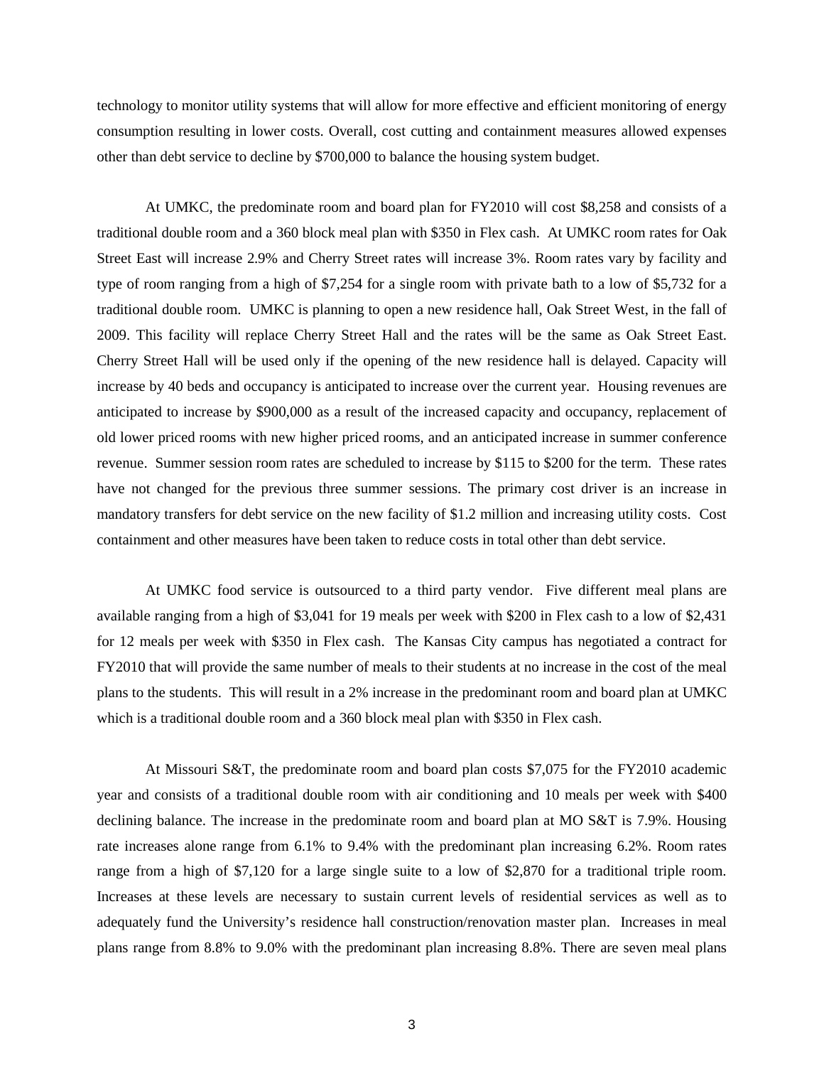technology to monitor utility systems that will allow for more effective and efficient monitoring of energy consumption resulting in lower costs. Overall, cost cutting and containment measures allowed expenses other than debt service to decline by \$700,000 to balance the housing system budget.

At UMKC, the predominate room and board plan for FY2010 will cost \$8,258 and consists of a traditional double room and a 360 block meal plan with \$350 in Flex cash. At UMKC room rates for Oak Street East will increase 2.9% and Cherry Street rates will increase 3%. Room rates vary by facility and type of room ranging from a high of \$7,254 for a single room with private bath to a low of \$5,732 for a traditional double room. UMKC is planning to open a new residence hall, Oak Street West, in the fall of 2009. This facility will replace Cherry Street Hall and the rates will be the same as Oak Street East. Cherry Street Hall will be used only if the opening of the new residence hall is delayed. Capacity will increase by 40 beds and occupancy is anticipated to increase over the current year. Housing revenues are anticipated to increase by \$900,000 as a result of the increased capacity and occupancy, replacement of old lower priced rooms with new higher priced rooms, and an anticipated increase in summer conference revenue. Summer session room rates are scheduled to increase by \$115 to \$200 for the term. These rates have not changed for the previous three summer sessions. The primary cost driver is an increase in mandatory transfers for debt service on the new facility of \$1.2 million and increasing utility costs. Cost containment and other measures have been taken to reduce costs in total other than debt service.

At UMKC food service is outsourced to a third party vendor. Five different meal plans are available ranging from a high of \$3,041 for 19 meals per week with \$200 in Flex cash to a low of \$2,431 for 12 meals per week with \$350 in Flex cash. The Kansas City campus has negotiated a contract for FY2010 that will provide the same number of meals to their students at no increase in the cost of the meal plans to the students. This will result in a 2% increase in the predominant room and board plan at UMKC which is a traditional double room and a 360 block meal plan with \$350 in Flex cash.

At Missouri S&T, the predominate room and board plan costs \$7,075 for the FY2010 academic year and consists of a traditional double room with air conditioning and 10 meals per week with \$400 declining balance. The increase in the predominate room and board plan at MO S&T is 7.9%. Housing rate increases alone range from 6.1% to 9.4% with the predominant plan increasing 6.2%. Room rates range from a high of \$7,120 for a large single suite to a low of \$2,870 for a traditional triple room. Increases at these levels are necessary to sustain current levels of residential services as well as to adequately fund the University's residence hall construction/renovation master plan. Increases in meal plans range from 8.8% to 9.0% with the predominant plan increasing 8.8%. There are seven meal plans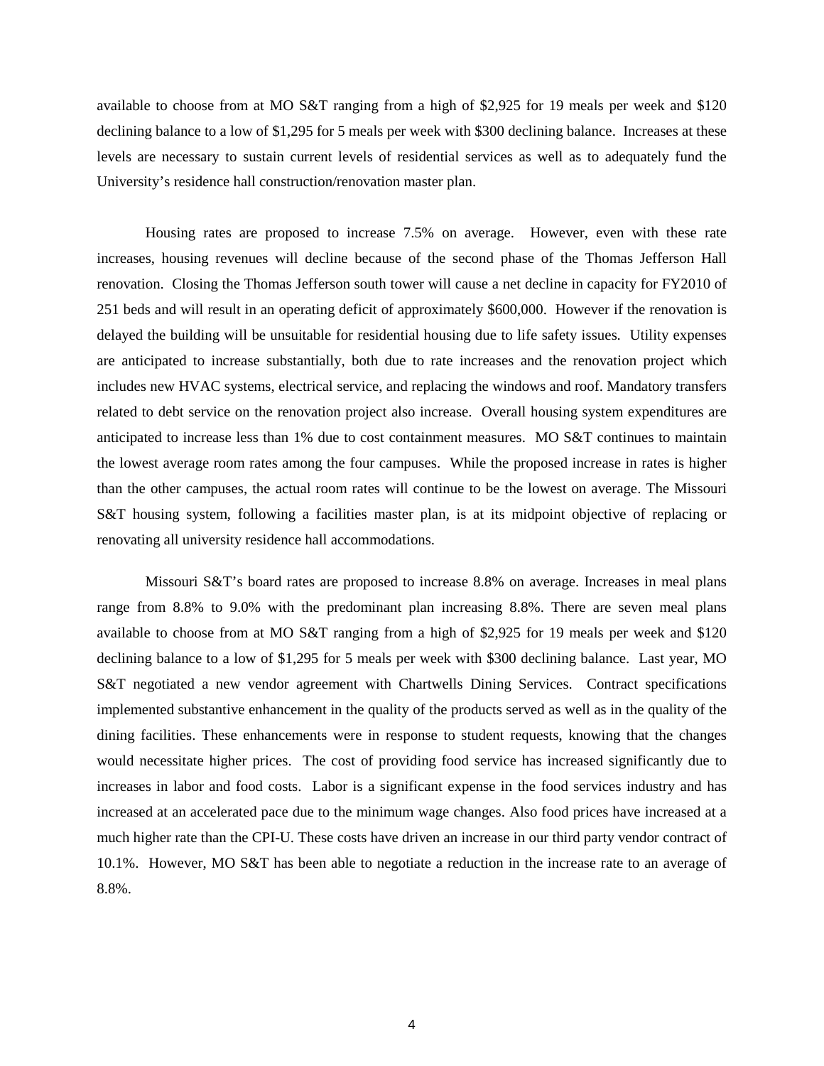available to choose from at MO S&T ranging from a high of \$2,925 for 19 meals per week and \$120 declining balance to a low of \$1,295 for 5 meals per week with \$300 declining balance. Increases at these levels are necessary to sustain current levels of residential services as well as to adequately fund the University's residence hall construction/renovation master plan.

Housing rates are proposed to increase 7.5% on average. However, even with these rate increases, housing revenues will decline because of the second phase of the Thomas Jefferson Hall renovation. Closing the Thomas Jefferson south tower will cause a net decline in capacity for FY2010 of 251 beds and will result in an operating deficit of approximately \$600,000. However if the renovation is delayed the building will be unsuitable for residential housing due to life safety issues. Utility expenses are anticipated to increase substantially, both due to rate increases and the renovation project which includes new HVAC systems, electrical service, and replacing the windows and roof. Mandatory transfers related to debt service on the renovation project also increase. Overall housing system expenditures are anticipated to increase less than 1% due to cost containment measures. MO S&T continues to maintain the lowest average room rates among the four campuses. While the proposed increase in rates is higher than the other campuses, the actual room rates will continue to be the lowest on average. The Missouri S&T housing system, following a facilities master plan, is at its midpoint objective of replacing or renovating all university residence hall accommodations.

Missouri S&T's board rates are proposed to increase 8.8% on average. Increases in meal plans range from 8.8% to 9.0% with the predominant plan increasing 8.8%. There are seven meal plans available to choose from at MO S&T ranging from a high of \$2,925 for 19 meals per week and \$120 declining balance to a low of \$1,295 for 5 meals per week with \$300 declining balance. Last year, MO S&T negotiated a new vendor agreement with Chartwells Dining Services. Contract specifications implemented substantive enhancement in the quality of the products served as well as in the quality of the dining facilities. These enhancements were in response to student requests, knowing that the changes would necessitate higher prices. The cost of providing food service has increased significantly due to increases in labor and food costs. Labor is a significant expense in the food services industry and has increased at an accelerated pace due to the minimum wage changes. Also food prices have increased at a much higher rate than the CPI-U. These costs have driven an increase in our third party vendor contract of 10.1%. However, MO S&T has been able to negotiate a reduction in the increase rate to an average of 8.8%.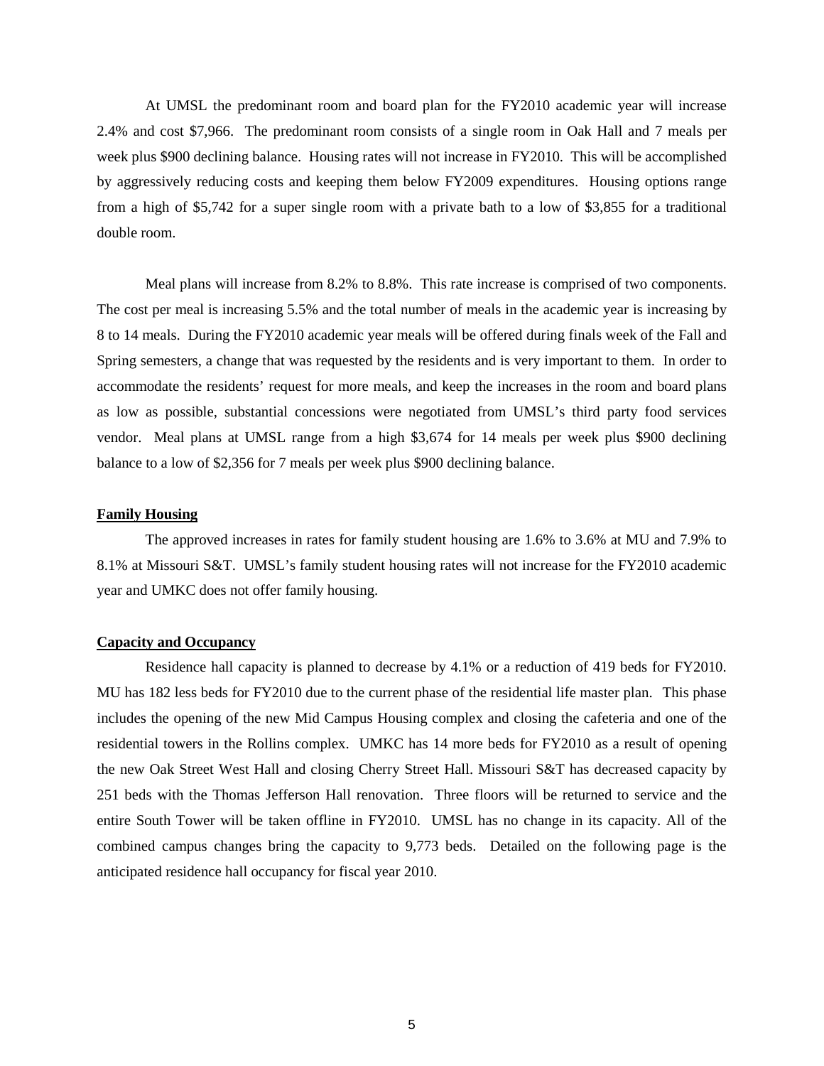At UMSL the predominant room and board plan for the FY2010 academic year will increase 2.4% and cost \$7,966. The predominant room consists of a single room in Oak Hall and 7 meals per week plus \$900 declining balance. Housing rates will not increase in FY2010. This will be accomplished by aggressively reducing costs and keeping them below FY2009 expenditures. Housing options range from a high of \$5,742 for a super single room with a private bath to a low of \$3,855 for a traditional double room.

Meal plans will increase from 8.2% to 8.8%. This rate increase is comprised of two components. The cost per meal is increasing 5.5% and the total number of meals in the academic year is increasing by 8 to 14 meals. During the FY2010 academic year meals will be offered during finals week of the Fall and Spring semesters, a change that was requested by the residents and is very important to them. In order to accommodate the residents' request for more meals, and keep the increases in the room and board plans as low as possible, substantial concessions were negotiated from UMSL's third party food services vendor. Meal plans at UMSL range from a high \$3,674 for 14 meals per week plus \$900 declining balance to a low of \$2,356 for 7 meals per week plus \$900 declining balance.

#### **Family Housing**

The approved increases in rates for family student housing are 1.6% to 3.6% at MU and 7.9% to 8.1% at Missouri S&T. UMSL's family student housing rates will not increase for the FY2010 academic year and UMKC does not offer family housing.

### **Capacity and Occupancy**

Residence hall capacity is planned to decrease by 4.1% or a reduction of 419 beds for FY2010. MU has 182 less beds for FY2010 due to the current phase of the residential life master plan. This phase includes the opening of the new Mid Campus Housing complex and closing the cafeteria and one of the residential towers in the Rollins complex. UMKC has 14 more beds for FY2010 as a result of opening the new Oak Street West Hall and closing Cherry Street Hall. Missouri S&T has decreased capacity by 251 beds with the Thomas Jefferson Hall renovation. Three floors will be returned to service and the entire South Tower will be taken offline in FY2010. UMSL has no change in its capacity. All of the combined campus changes bring the capacity to 9,773 beds. Detailed on the following page is the anticipated residence hall occupancy for fiscal year 2010.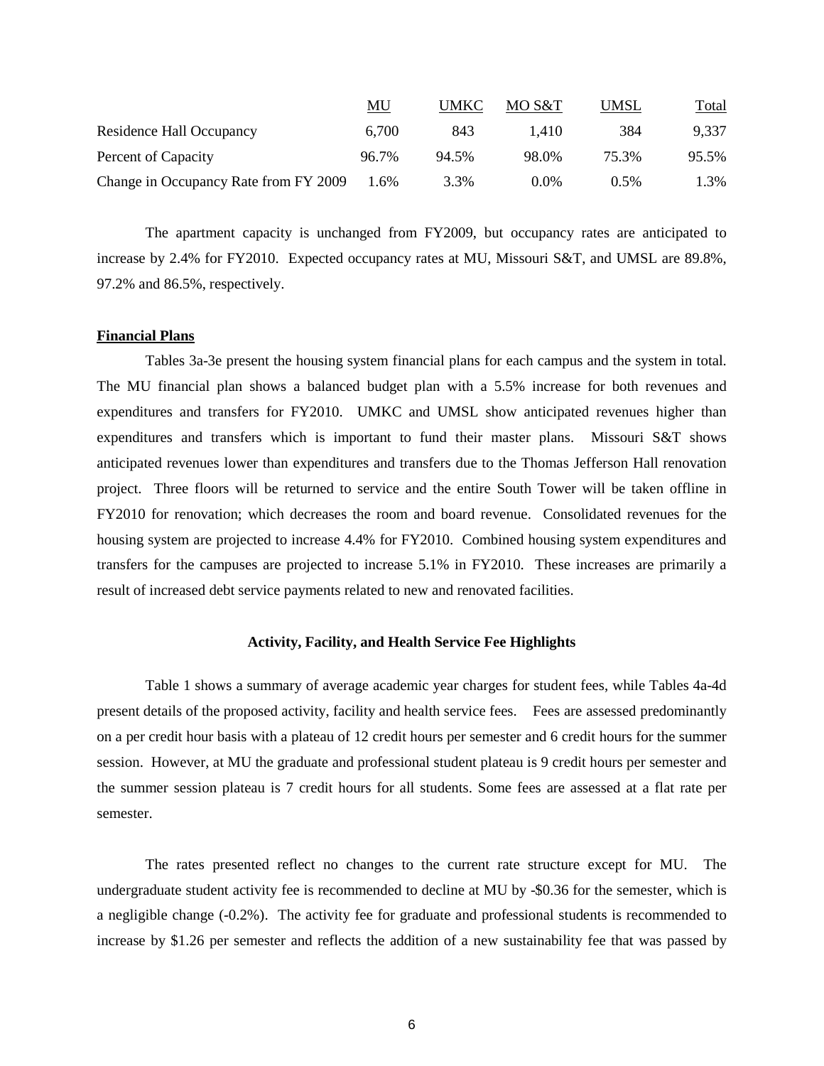|                                       | <u>MU</u> | UMKC  | MO S&T  | <b>UMSL</b> | <u>Total</u> |
|---------------------------------------|-----------|-------|---------|-------------|--------------|
| Residence Hall Occupancy              | 6,700     | 843   | 1.410   | 384         | 9,337        |
| Percent of Capacity                   | 96.7%     | 94.5% | 98.0%   | 75.3%       | 95.5%        |
| Change in Occupancy Rate from FY 2009 | 1.6%      | 3.3%  | $0.0\%$ | $0.5\%$     | 1.3%         |

The apartment capacity is unchanged from FY2009, but occupancy rates are anticipated to increase by 2.4% for FY2010. Expected occupancy rates at MU, Missouri S&T, and UMSL are 89.8%, 97.2% and 86.5%, respectively.

### **Financial Plans**

Tables 3a-3e present the housing system financial plans for each campus and the system in total. The MU financial plan shows a balanced budget plan with a 5.5% increase for both revenues and expenditures and transfers for FY2010. UMKC and UMSL show anticipated revenues higher than expenditures and transfers which is important to fund their master plans. Missouri S&T shows anticipated revenues lower than expenditures and transfers due to the Thomas Jefferson Hall renovation project. Three floors will be returned to service and the entire South Tower will be taken offline in FY2010 for renovation; which decreases the room and board revenue. Consolidated revenues for the housing system are projected to increase 4.4% for FY2010. Combined housing system expenditures and transfers for the campuses are projected to increase 5.1% in FY2010. These increases are primarily a result of increased debt service payments related to new and renovated facilities.

#### **Activity, Facility, and Health Service Fee Highlights**

Table 1 shows a summary of average academic year charges for student fees, while Tables 4a-4d present details of the proposed activity, facility and health service fees. Fees are assessed predominantly on a per credit hour basis with a plateau of 12 credit hours per semester and 6 credit hours for the summer session. However, at MU the graduate and professional student plateau is 9 credit hours per semester and the summer session plateau is 7 credit hours for all students. Some fees are assessed at a flat rate per semester.

The rates presented reflect no changes to the current rate structure except for MU. The undergraduate student activity fee is recommended to decline at MU by -\$0.36 for the semester, which is a negligible change (-0.2%). The activity fee for graduate and professional students is recommended to increase by \$1.26 per semester and reflects the addition of a new sustainability fee that was passed by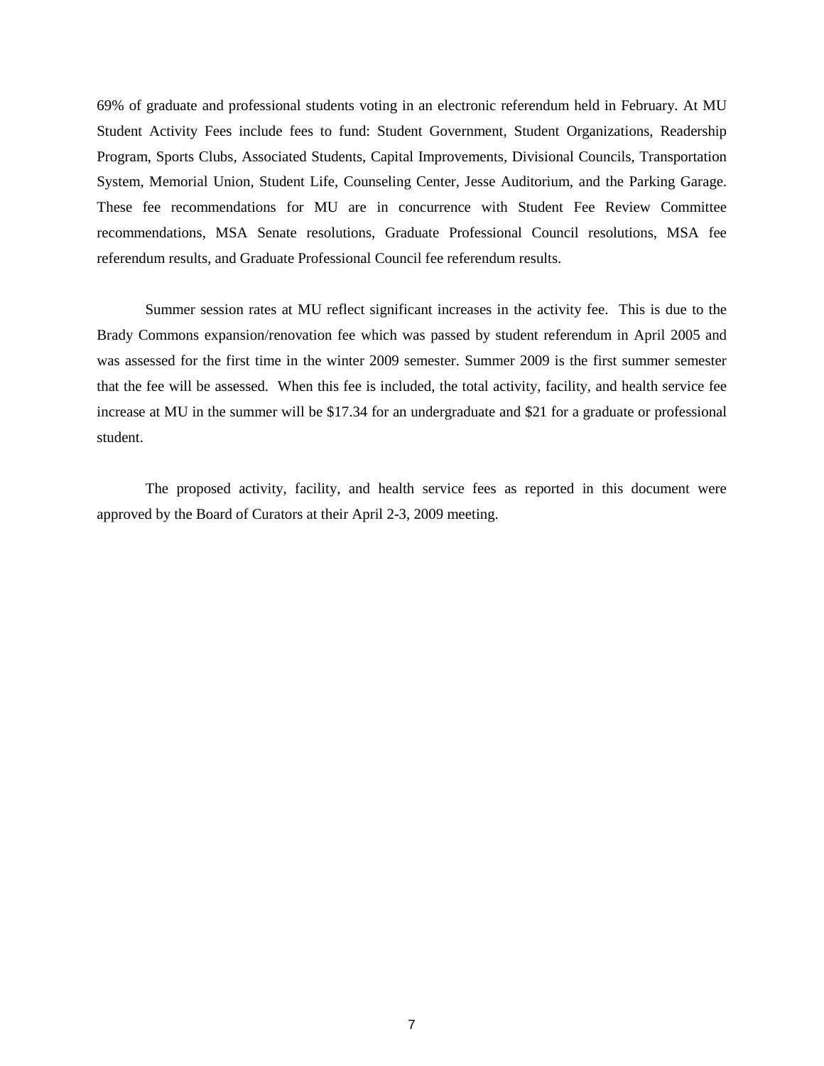69% of graduate and professional students voting in an electronic referendum held in February. At MU Student Activity Fees include fees to fund: Student Government, Student Organizations, Readership Program, Sports Clubs, Associated Students, Capital Improvements, Divisional Councils, Transportation System, Memorial Union, Student Life, Counseling Center, Jesse Auditorium, and the Parking Garage. These fee recommendations for MU are in concurrence with Student Fee Review Committee recommendations, MSA Senate resolutions, Graduate Professional Council resolutions, MSA fee referendum results, and Graduate Professional Council fee referendum results.

Summer session rates at MU reflect significant increases in the activity fee. This is due to the Brady Commons expansion/renovation fee which was passed by student referendum in April 2005 and was assessed for the first time in the winter 2009 semester. Summer 2009 is the first summer semester that the fee will be assessed. When this fee is included, the total activity, facility, and health service fee increase at MU in the summer will be \$17.34 for an undergraduate and \$21 for a graduate or professional student.

The proposed activity, facility, and health service fees as reported in this document were approved by the Board of Curators at their April 2-3, 2009 meeting.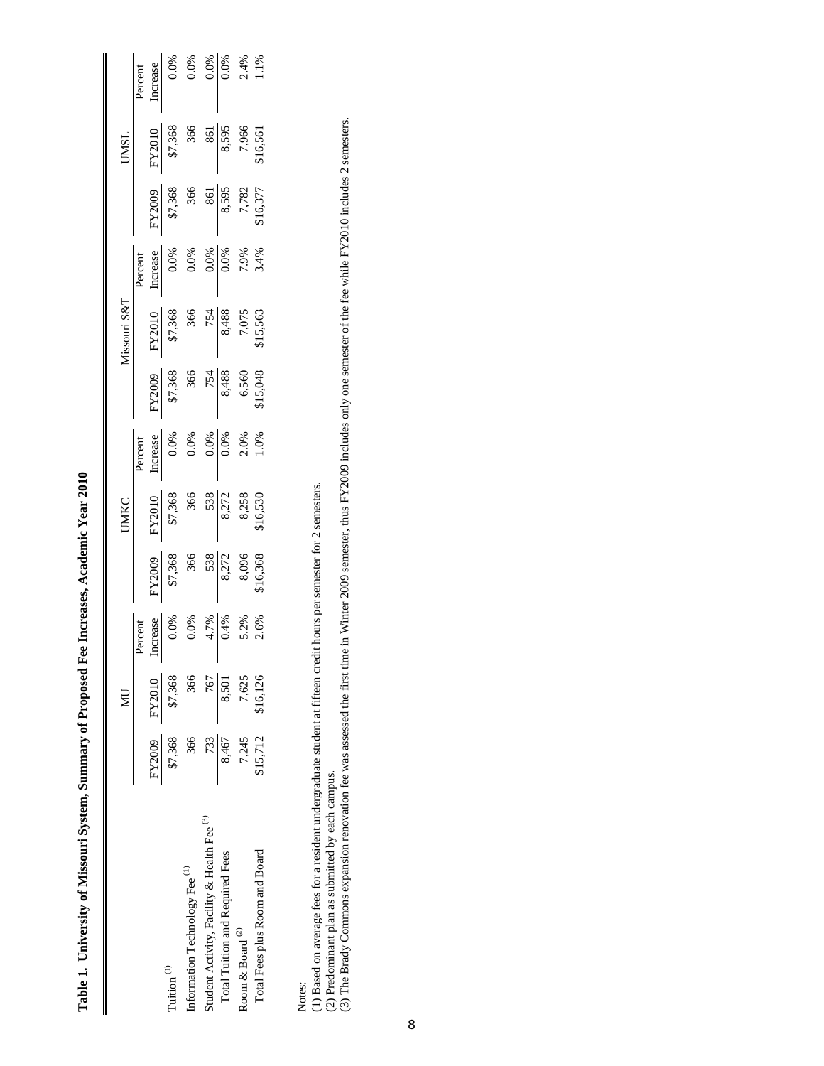|                                             |                         | $\overline{\mathbf{M}}$ |                                                                           |                                                                                                                                                             | UMKC                                                                                                                                                   |                                                                                                                                  |                                                                                                                                                                                   | Missouri S&T                                                                                                                            |                                                             |                                                         | <b>UNSI</b>                                                        |                                                                                                                             |
|---------------------------------------------|-------------------------|-------------------------|---------------------------------------------------------------------------|-------------------------------------------------------------------------------------------------------------------------------------------------------------|--------------------------------------------------------------------------------------------------------------------------------------------------------|----------------------------------------------------------------------------------------------------------------------------------|-----------------------------------------------------------------------------------------------------------------------------------------------------------------------------------|-----------------------------------------------------------------------------------------------------------------------------------------|-------------------------------------------------------------|---------------------------------------------------------|--------------------------------------------------------------------|-----------------------------------------------------------------------------------------------------------------------------|
|                                             | FY2009                  | FY2010                  | Percent                                                                   |                                                                                                                                                             |                                                                                                                                                        | Percent                                                                                                                          |                                                                                                                                                                                   |                                                                                                                                         | Percent<br>Increase<br>0.0%<br>0.0%<br>0.0%<br>7.9%<br>7.9% |                                                         |                                                                    | Percent                                                                                                                     |
| Tuition <sup>(1)</sup>                      | \$7,368                 | \$7,368                 | merease<br>$0.0\%$<br>$0.0\%$<br>$0.0\%$<br>$0.4\%$<br>$0.2\%$<br>$0.2\%$ | $\begin{array}{r} \hline \text{57,368} \\ \text{$87,368$} \\ \text{366} \\ \text{506} \\ \text{5272} \\ \text{8,096} \\ \text{8,096} \\ \hline \end{array}$ | $\begin{array}{r l} \hline \text{KY2010} \\ \text{$87$,368} \\ \text{$366$} \\ \text{$366$} \\ \text{$8,272$} \\ \text{$8,282$} \\ \hline \end{array}$ | $\begin{array}{r l} \text{Increase} \\ \hline 0.0\% \\ 0.0\% \\ 0.0\% \\ \hline 0.00\% \\ 0.00\% \\ 1.0\% \\ \hline \end{array}$ | $\begin{array}{r l} \hline \text{KY2009} \\ \text{$\$7,368$} \\ \text{$366$} \\ \text{$366$} \\ \text{$366$} \\ \text{$3488$} \\ \text{$6,560$} \\ \text{$6,560$} \\ \end{array}$ | $\begin{array}{r l} \hline \text{57,368} \\ \text{57,368} \\ \text{366} \\ \text{58,488} \\ \text{8,488} \\ \text{515,563} \end{array}$ |                                                             | FY2009<br>37,368<br>365<br>365,87,782<br>7,782<br>7,771 | FY2010<br>\$7,368<br>366<br>366,795<br>316,595<br>7,966<br>516,561 | $\begin{array}{r l} \text{Increase} \\ \hline 0.0\% \\ 0.0\% \\ \hline 0.0\% \\ \hline 0.0\% \\ 0.0\% \\ 1.1\% \end{array}$ |
| Information Technology Fee <sup>(1)</sup>   | 366                     | 366                     |                                                                           |                                                                                                                                                             |                                                                                                                                                        |                                                                                                                                  |                                                                                                                                                                                   |                                                                                                                                         |                                                             |                                                         |                                                                    |                                                                                                                             |
| Student Activity, Facility & Health Fee (3) | 733                     | 767                     |                                                                           |                                                                                                                                                             |                                                                                                                                                        |                                                                                                                                  |                                                                                                                                                                                   |                                                                                                                                         |                                                             |                                                         |                                                                    |                                                                                                                             |
| Total Tuition and Required Fees             | 8,467                   | 8,501                   |                                                                           |                                                                                                                                                             |                                                                                                                                                        |                                                                                                                                  |                                                                                                                                                                                   |                                                                                                                                         |                                                             |                                                         |                                                                    |                                                                                                                             |
| Room & Board $^{\left( 2\right) }$          |                         |                         |                                                                           |                                                                                                                                                             |                                                                                                                                                        |                                                                                                                                  |                                                                                                                                                                                   |                                                                                                                                         |                                                             |                                                         |                                                                    |                                                                                                                             |
| Total Fees plus Room and Board              | $\frac{7,245}{$15,712}$ | 7,625<br>\$16,126       |                                                                           |                                                                                                                                                             |                                                                                                                                                        |                                                                                                                                  |                                                                                                                                                                                   |                                                                                                                                         |                                                             |                                                         |                                                                    |                                                                                                                             |
|                                             |                         |                         |                                                                           |                                                                                                                                                             |                                                                                                                                                        |                                                                                                                                  |                                                                                                                                                                                   |                                                                                                                                         |                                                             |                                                         |                                                                    |                                                                                                                             |

Table 1. University of Missouri System, Summary of Proposed Fee Increases, Academic Year 2010 **Table 1. University of Missouri System, Summary of Proposed Fee Increases, Academic Year 2010**

(1) Based on average fees for a resident undergraduate student at fifteen credit hours per semester for 2 semesters.

(2) Predominant plan as submitted by each campus.

Notes:<br>(1) Based on average fees for a resident undergraduate student at fifteen credit hours per semester for 2 semesters.<br>(2) Predominant plan as submitted by each campus.<br>(3) The Brady Commons expansion renovation fee w (3) The Brady Commons expansion renovation fee was assessed the first time in Winter 2009 semester, thus FY2009 includes only one semester of the fee while FY2010 includes 2 semesters.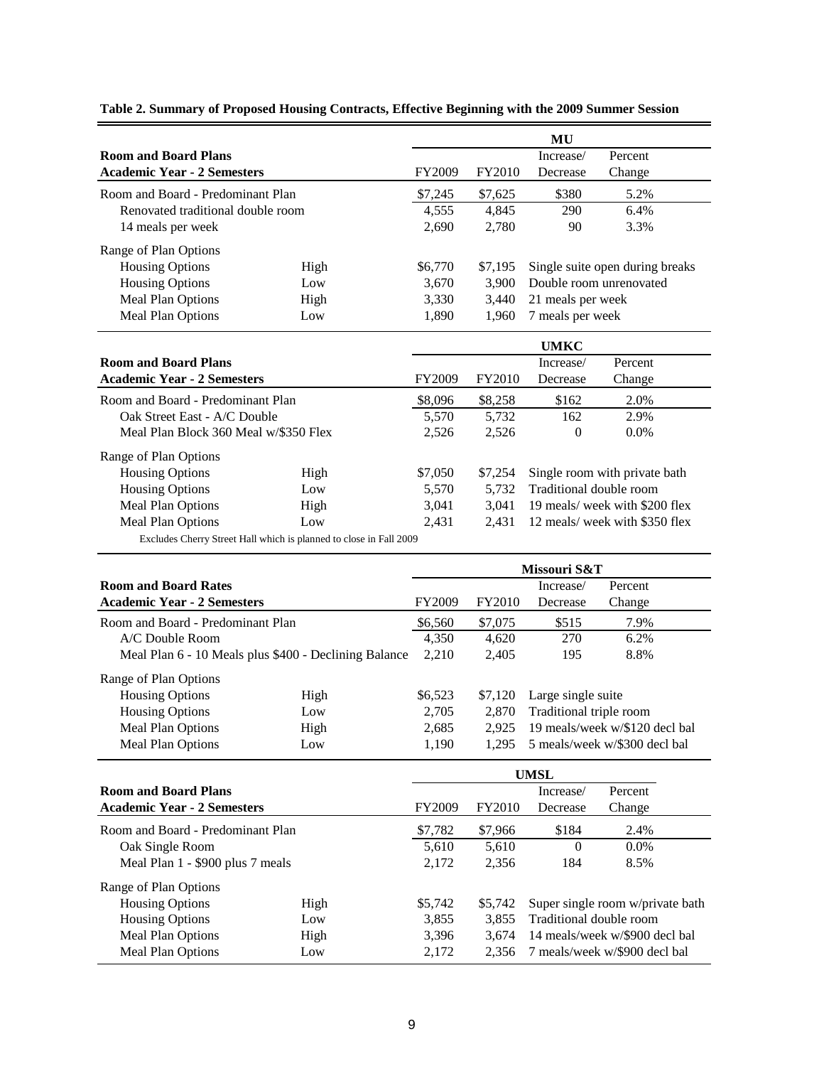|                                                       |                                                                    |         |         | MU                             |                                  |
|-------------------------------------------------------|--------------------------------------------------------------------|---------|---------|--------------------------------|----------------------------------|
| <b>Room and Board Plans</b>                           |                                                                    |         |         | Increase/                      | Percent                          |
| <b>Academic Year - 2 Semesters</b>                    |                                                                    | FY2009  | FY2010  | Decrease                       | Change                           |
|                                                       |                                                                    |         |         |                                |                                  |
| Room and Board - Predominant Plan                     |                                                                    | \$7,245 | \$7,625 | \$380                          | 5.2%                             |
| Renovated traditional double room                     |                                                                    | 4,555   | 4,845   | 290                            | 6.4%                             |
| 14 meals per week                                     |                                                                    | 2,690   | 2,780   | 90                             | 3.3%                             |
| Range of Plan Options                                 |                                                                    |         |         |                                |                                  |
| <b>Housing Options</b>                                | High                                                               | \$6,770 | \$7,195 |                                | Single suite open during breaks  |
| <b>Housing Options</b>                                | Low                                                                | 3,670   | 3,900   |                                | Double room unrenovated          |
| Meal Plan Options                                     | High                                                               | 3,330   | 3,440   | 21 meals per week              |                                  |
| Meal Plan Options                                     | Low                                                                | 1,890   | 1,960   | 7 meals per week               |                                  |
|                                                       |                                                                    |         |         | <b>UMKC</b>                    |                                  |
| <b>Room and Board Plans</b>                           |                                                                    |         |         | Increase/                      | Percent                          |
| <b>Academic Year - 2 Semesters</b>                    |                                                                    | FY2009  | FY2010  | Decrease                       | Change                           |
| Room and Board - Predominant Plan                     |                                                                    | \$8,096 | \$8,258 | \$162                          | 2.0%                             |
| Oak Street East - A/C Double                          |                                                                    | 5,570   | 5,732   | 162                            | 2.9%                             |
| Meal Plan Block 360 Meal w/\$350 Flex                 |                                                                    | 2,526   | 2,526   | $\boldsymbol{0}$               | 0.0%                             |
| Range of Plan Options                                 |                                                                    |         |         |                                |                                  |
| <b>Housing Options</b>                                | High                                                               | \$7,050 | \$7,254 |                                | Single room with private bath    |
| <b>Housing Options</b>                                | Low                                                                | 5,570   | 5,732   | Traditional double room        |                                  |
| Meal Plan Options                                     | High                                                               | 3,041   | 3,041   | 19 meals/ week with \$200 flex |                                  |
| Meal Plan Options                                     | Low                                                                | 2,431   | 2,431   | 12 meals/ week with \$350 flex |                                  |
|                                                       | Excludes Cherry Street Hall which is planned to close in Fall 2009 |         |         |                                |                                  |
|                                                       | Missouri S&T                                                       |         |         |                                |                                  |
| <b>Room and Board Rates</b>                           |                                                                    |         |         | Increase/                      | Percent                          |
| <b>Academic Year - 2 Semesters</b>                    |                                                                    | FY2009  | FY2010  | Decrease                       | Change                           |
| Room and Board - Predominant Plan                     |                                                                    | \$6,560 | \$7,075 | \$515                          | 7.9%                             |
| A/C Double Room                                       |                                                                    | 4,350   | 4,620   | 270                            | 6.2%                             |
| Meal Plan 6 - 10 Meals plus \$400 - Declining Balance |                                                                    | 2,210   | 2,405   | 195                            | 8.8%                             |
|                                                       |                                                                    |         |         |                                |                                  |
| Range of Plan Options                                 |                                                                    |         |         |                                |                                  |
| <b>Housing Options</b>                                | High                                                               | \$6,523 | \$7,120 | Large single suite             |                                  |
| <b>Housing Options</b>                                | Low                                                                | 2,705   | 2,870   | Traditional triple room        | 19 meals/week w/\$120 decl bal   |
| <b>Meal Plan Options</b>                              | High                                                               | 2,685   | 2,925   |                                |                                  |
| Meal Plan Options                                     | Low                                                                | 1,190   | 1,295   |                                | 5 meals/week w/\$300 decl bal    |
|                                                       |                                                                    |         |         | <b>UMSL</b>                    |                                  |
| <b>Room and Board Plans</b>                           |                                                                    |         |         | Increase/                      | Percent                          |
| <b>Academic Year - 2 Semesters</b>                    |                                                                    | FY2009  | FY2010  | Decrease                       | Change                           |
| Room and Board - Predominant Plan                     |                                                                    | \$7,782 | \$7,966 | \$184                          | 2.4%                             |
| Oak Single Room                                       |                                                                    | 5,610   | 5,610   | $\overline{0}$                 | 0.0%                             |
| Meal Plan 1 - \$900 plus 7 meals                      |                                                                    | 2,172   | 2,356   | 184                            | 8.5%                             |
| Range of Plan Options                                 |                                                                    |         |         |                                |                                  |
| <b>Housing Options</b>                                | High                                                               | \$5,742 | \$5,742 |                                | Super single room w/private bath |
| <b>Housing Options</b>                                | Low                                                                | 3,855   | 3,855   | Traditional double room        |                                  |
| Meal Plan Options                                     | High                                                               | 3,396   | 3,674   |                                | 14 meals/week w/\$900 decl bal   |

**Table 2. Summary of Proposed Housing Contracts, Effective Beginning with the 2009 Summer Session**

Meal Plan Options Low 2,172 2,356 7 meals/week w/\$900 decl bal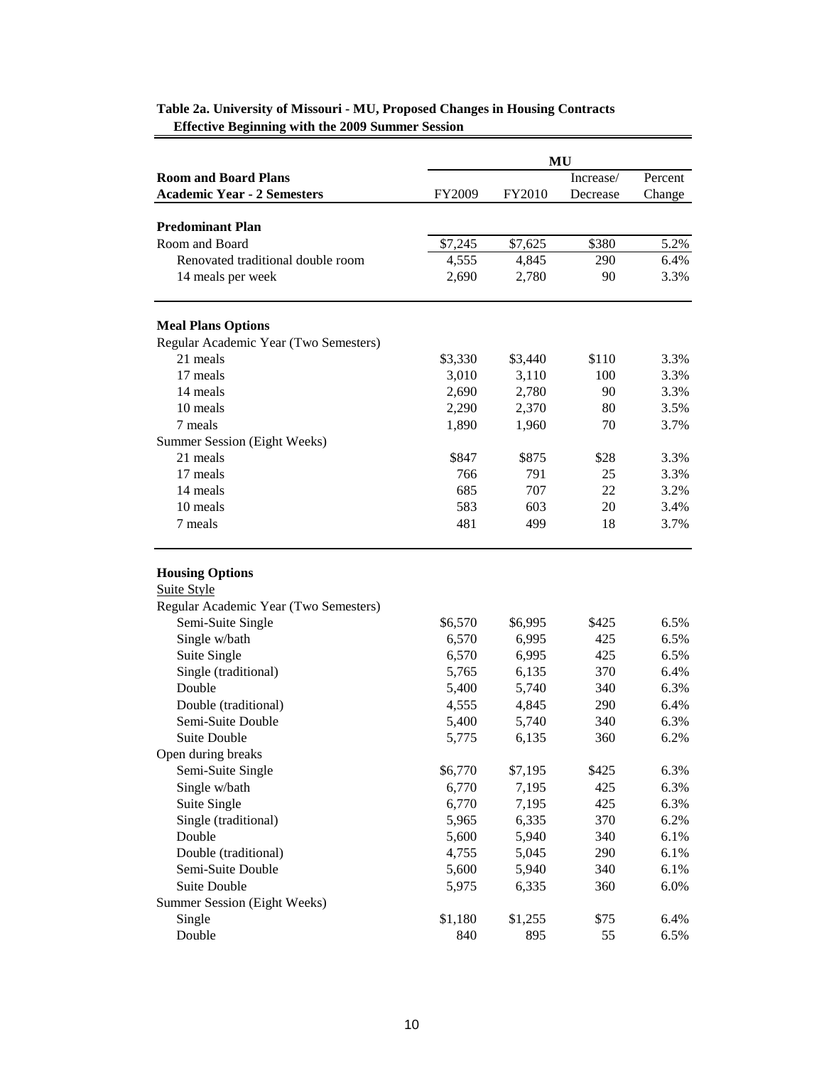|                                       | MU      |               |           |         |  |  |
|---------------------------------------|---------|---------------|-----------|---------|--|--|
| <b>Room and Board Plans</b>           |         |               | Increase/ | Percent |  |  |
| <b>Academic Year - 2 Semesters</b>    | FY2009  | <b>FY2010</b> | Decrease  | Change  |  |  |
|                                       |         |               |           |         |  |  |
| <b>Predominant Plan</b>               |         |               |           |         |  |  |
| Room and Board                        | \$7,245 | \$7,625       | \$380     | 5.2%    |  |  |
| Renovated traditional double room     | 4,555   | 4,845         | 290       | 6.4%    |  |  |
| 14 meals per week                     | 2,690   | 2,780         | 90        | 3.3%    |  |  |
| <b>Meal Plans Options</b>             |         |               |           |         |  |  |
| Regular Academic Year (Two Semesters) |         |               |           |         |  |  |
| 21 meals                              | \$3,330 | \$3,440       | \$110     | 3.3%    |  |  |
| 17 meals                              | 3,010   | 3,110         | 100       | 3.3%    |  |  |
| 14 meals                              | 2,690   | 2,780         | 90        | 3.3%    |  |  |
| 10 meals                              | 2,290   | 2,370         | 80        | 3.5%    |  |  |
| 7 meals                               | 1,890   | 1,960         | 70        | 3.7%    |  |  |
| Summer Session (Eight Weeks)          |         |               |           |         |  |  |
| 21 meals                              | \$847   | \$875         | \$28      | 3.3%    |  |  |
| 17 meals                              | 766     | 791           | 25        | 3.3%    |  |  |
| 14 meals                              | 685     | 707           | 22        | 3.2%    |  |  |
| 10 meals                              | 583     | 603           | 20        | 3.4%    |  |  |
| 7 meals                               | 481     | 499           | 18        | 3.7%    |  |  |
|                                       |         |               |           |         |  |  |
| <b>Housing Options</b>                |         |               |           |         |  |  |
| <b>Suite Style</b>                    |         |               |           |         |  |  |
| Regular Academic Year (Two Semesters) |         |               |           |         |  |  |
| Semi-Suite Single                     | \$6,570 | \$6,995       | \$425     | 6.5%    |  |  |
| Single w/bath                         | 6,570   | 6,995         | 425       | 6.5%    |  |  |
| Suite Single                          | 6,570   | 6,995         | 425       | 6.5%    |  |  |
| Single (traditional)                  | 5,765   | 6,135         | 370       | 6.4%    |  |  |
| Double                                | 5,400   | 5,740         | 340       | 6.3%    |  |  |
| Double (traditional)                  | 4,555   | 4,845         | 290       | 6.4%    |  |  |
| Semi-Suite Double                     | 5,400   | 5,740         | 340       | 6.3%    |  |  |
| <b>Suite Double</b>                   | 5,775   | 6,135         | 360       | 6.2%    |  |  |
| Open during breaks                    |         |               |           |         |  |  |
| Semi-Suite Single                     | \$6,770 | \$7,195       | \$425     | 6.3%    |  |  |
| Single w/bath                         | 6,770   | 7,195         | 425       | 6.3%    |  |  |
| Suite Single                          | 6,770   | 7,195         | 425       | 6.3%    |  |  |
| Single (traditional)                  | 5,965   | 6,335         | 370       | 6.2%    |  |  |
| Double                                | 5,600   | 5,940         | 340       | 6.1%    |  |  |
| Double (traditional)                  | 4,755   | 5,045         | 290       | 6.1%    |  |  |
| Semi-Suite Double                     | 5,600   | 5,940         | 340       | 6.1%    |  |  |
| <b>Suite Double</b>                   | 5,975   | 6,335         | 360       | 6.0%    |  |  |
| Summer Session (Eight Weeks)          |         |               |           |         |  |  |
| Single                                | \$1,180 | \$1,255       | \$75      | 6.4%    |  |  |
| Double                                | 840     | 895           | 55        | 6.5%    |  |  |

## **Table 2a. University of Missouri - MU, Proposed Changes in Housing Contracts Effective Beginning with the 2009 Summer Session**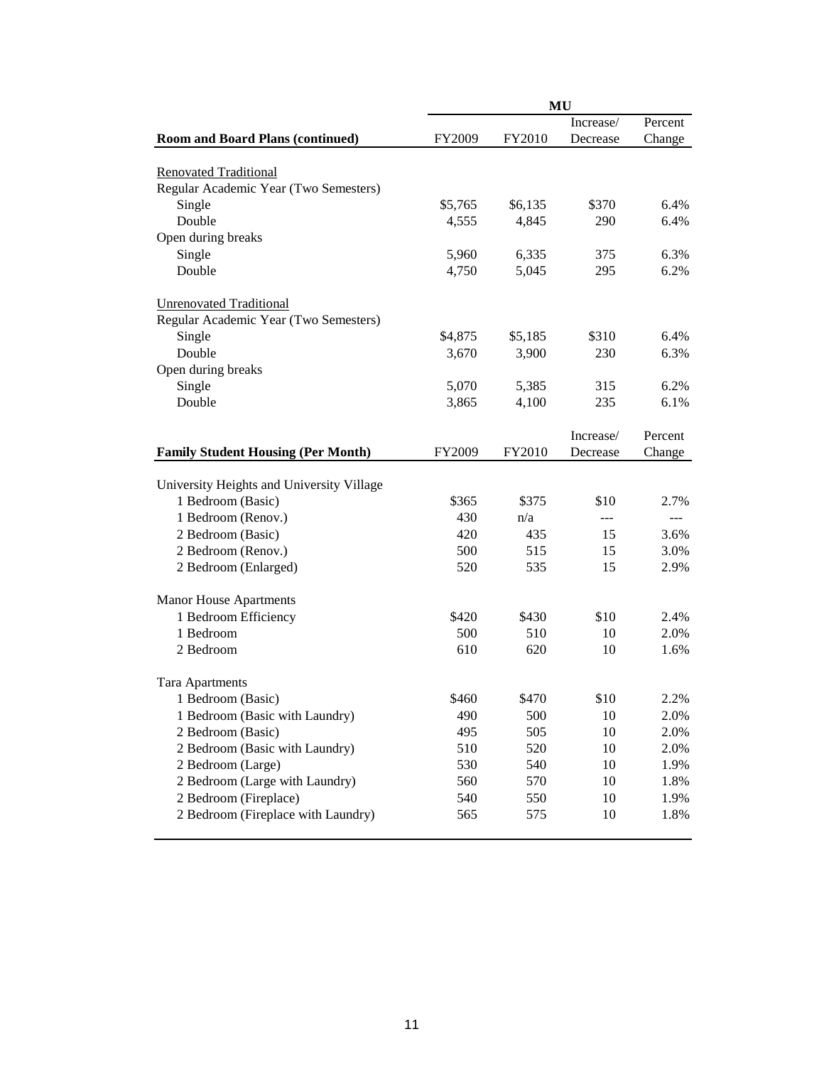|                                           |         |               | <b>MU</b> |         |
|-------------------------------------------|---------|---------------|-----------|---------|
|                                           |         |               | Increase/ | Percent |
| <b>Room and Board Plans (continued)</b>   | FY2009  | <b>FY2010</b> | Decrease  | Change  |
| <b>Renovated Traditional</b>              |         |               |           |         |
| Regular Academic Year (Two Semesters)     |         |               |           |         |
| Single                                    | \$5,765 | \$6,135       | \$370     | 6.4%    |
| Double                                    | 4,555   | 4,845         | 290       | 6.4%    |
| Open during breaks                        |         |               |           |         |
| Single                                    | 5,960   | 6,335         | 375       | 6.3%    |
| Double                                    | 4,750   | 5,045         | 295       | 6.2%    |
| <b>Unrenovated Traditional</b>            |         |               |           |         |
| Regular Academic Year (Two Semesters)     |         |               |           |         |
| Single                                    | \$4,875 | \$5,185       | \$310     | 6.4%    |
| Double                                    | 3,670   | 3,900         | 230       | 6.3%    |
| Open during breaks                        |         |               |           |         |
| Single                                    | 5,070   | 5,385         | 315       | 6.2%    |
| Double                                    | 3,865   | 4,100         | 235       | 6.1%    |
|                                           |         |               |           |         |
|                                           |         |               | Increase/ | Percent |
| <b>Family Student Housing (Per Month)</b> | FY2009  | <b>FY2010</b> | Decrease  | Change  |
| University Heights and University Village |         |               |           |         |
| 1 Bedroom (Basic)                         | \$365   | \$375         | \$10      | 2.7%    |
| 1 Bedroom (Renov.)                        | 430     | n/a           |           | ---     |
| 2 Bedroom (Basic)                         | 420     | 435           | 15        | 3.6%    |
| 2 Bedroom (Renov.)                        | 500     | 515           | 15        | 3.0%    |
| 2 Bedroom (Enlarged)                      | 520     | 535           | 15        | 2.9%    |
|                                           |         |               |           |         |
| <b>Manor House Apartments</b>             |         |               |           |         |
| 1 Bedroom Efficiency                      | \$420   | \$430         | \$10      | 2.4%    |
| 1 Bedroom                                 | 500     | 510           | 10        | 2.0%    |
| 2 Bedroom                                 | 610     | 620           | 10        | 1.6%    |
| <b>Tara Apartments</b>                    |         |               |           |         |
| 1 Bedroom (Basic)                         | \$460   | \$470         | \$10      | 2.2%    |
| 1 Bedroom (Basic with Laundry)            | 490     | 500           | 10        | 2.0%    |
| 2 Bedroom (Basic)                         | 495     | 505           | 10        | 2.0%    |
| 2 Bedroom (Basic with Laundry)            | 510     | 520           | 10        | 2.0%    |
| 2 Bedroom (Large)                         | 530     | 540           | 10        | 1.9%    |
| 2 Bedroom (Large with Laundry)            | 560     | 570           | 10        | 1.8%    |
| 2 Bedroom (Fireplace)                     | 540     | 550           | 10        | 1.9%    |
| 2 Bedroom (Fireplace with Laundry)        | 565     | 575           | 10        | 1.8%    |
|                                           |         |               |           |         |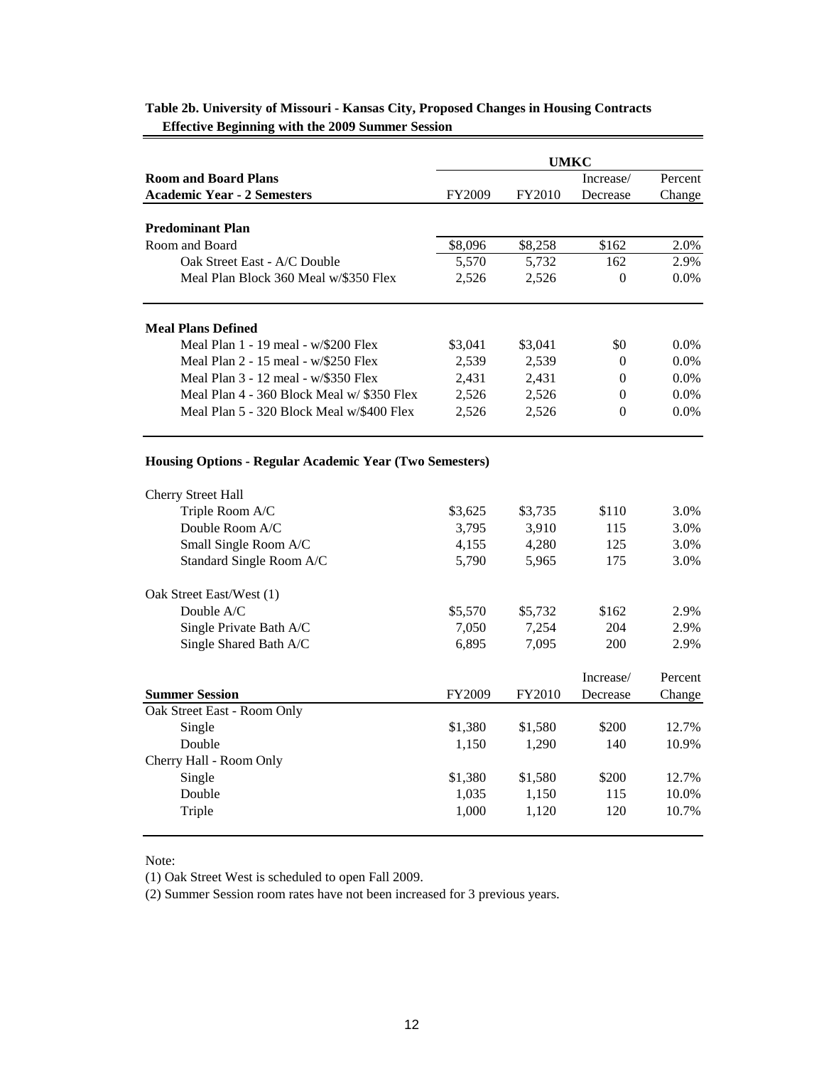|                                                                | <b>UMKC</b> |               |                  |         |  |  |
|----------------------------------------------------------------|-------------|---------------|------------------|---------|--|--|
| <b>Room and Board Plans</b>                                    |             |               | Increase/        | Percent |  |  |
| <b>Academic Year - 2 Semesters</b>                             | FY2009      | <b>FY2010</b> | Decrease         | Change  |  |  |
| <b>Predominant Plan</b>                                        |             |               |                  |         |  |  |
| Room and Board                                                 | \$8,096     | \$8,258       | \$162            | 2.0%    |  |  |
| Oak Street East - A/C Double                                   | 5,570       | 5,732         | 162              | 2.9%    |  |  |
| Meal Plan Block 360 Meal w/\$350 Flex                          | 2,526       | 2,526         | $\theta$         | $0.0\%$ |  |  |
|                                                                |             |               |                  |         |  |  |
| <b>Meal Plans Defined</b>                                      |             |               |                  |         |  |  |
| Meal Plan 1 - 19 meal - w/\$200 Flex                           | \$3,041     | \$3,041       | \$0              | $0.0\%$ |  |  |
| Meal Plan 2 - 15 meal - w/\$250 Flex                           | 2,539       | 2,539         | $\overline{0}$   | 0.0%    |  |  |
| Meal Plan 3 - 12 meal - w/\$350 Flex                           | 2,431       | 2,431         | $\overline{0}$   | 0.0%    |  |  |
| Meal Plan 4 - 360 Block Meal w/ \$350 Flex                     | 2,526       | 2,526         | $\boldsymbol{0}$ | 0.0%    |  |  |
| Meal Plan 5 - 320 Block Meal w/\$400 Flex                      | 2,526       | 2,526         | $\theta$         | $0.0\%$ |  |  |
| <b>Housing Options - Regular Academic Year (Two Semesters)</b> |             |               |                  |         |  |  |
| Cherry Street Hall                                             |             |               |                  |         |  |  |
| Triple Room A/C                                                | \$3,625     | \$3,735       | \$110            | 3.0%    |  |  |
| Double Room A/C                                                | 3,795       | 3,910         | 115              | 3.0%    |  |  |
| Small Single Room A/C                                          | 4,155       | 4,280         | 125              | 3.0%    |  |  |
| Standard Single Room A/C                                       | 5,790       | 5,965         | 175              | 3.0%    |  |  |
| Oak Street East/West (1)                                       |             |               |                  |         |  |  |
| Double A/C                                                     | \$5,570     | \$5,732       | \$162            | 2.9%    |  |  |
| Single Private Bath A/C                                        | 7,050       | 7,254         | 204              | 2.9%    |  |  |
| Single Shared Bath A/C                                         | 6,895       | 7,095         | 200              | 2.9%    |  |  |
|                                                                |             |               | Increase/        | Percent |  |  |
| <b>Summer Session</b>                                          | FY2009      | FY2010        | Decrease         | Change  |  |  |
| Oak Street East - Room Only                                    |             |               |                  |         |  |  |
| Single                                                         | \$1,380     | \$1,580       | \$200            | 12.7%   |  |  |
| Double                                                         | 1,150       | 1,290         | 140              | 10.9%   |  |  |
| Cherry Hall - Room Only                                        |             |               |                  |         |  |  |
| Single                                                         | \$1,380     | \$1,580       | \$200            | 12.7%   |  |  |
| Double                                                         | 1,035       | 1,150         | 115              | 10.0%   |  |  |
| Triple                                                         | 1,000       | 1,120         | 120              | 10.7%   |  |  |
|                                                                |             |               |                  |         |  |  |

## **Table 2b. University of Missouri - Kansas City, Proposed Changes in Housing Contracts Effective Beginning with the 2009 Summer Session**

Note:

(1) Oak Street West is scheduled to open Fall 2009.

(2) Summer Session room rates have not been increased for 3 previous years.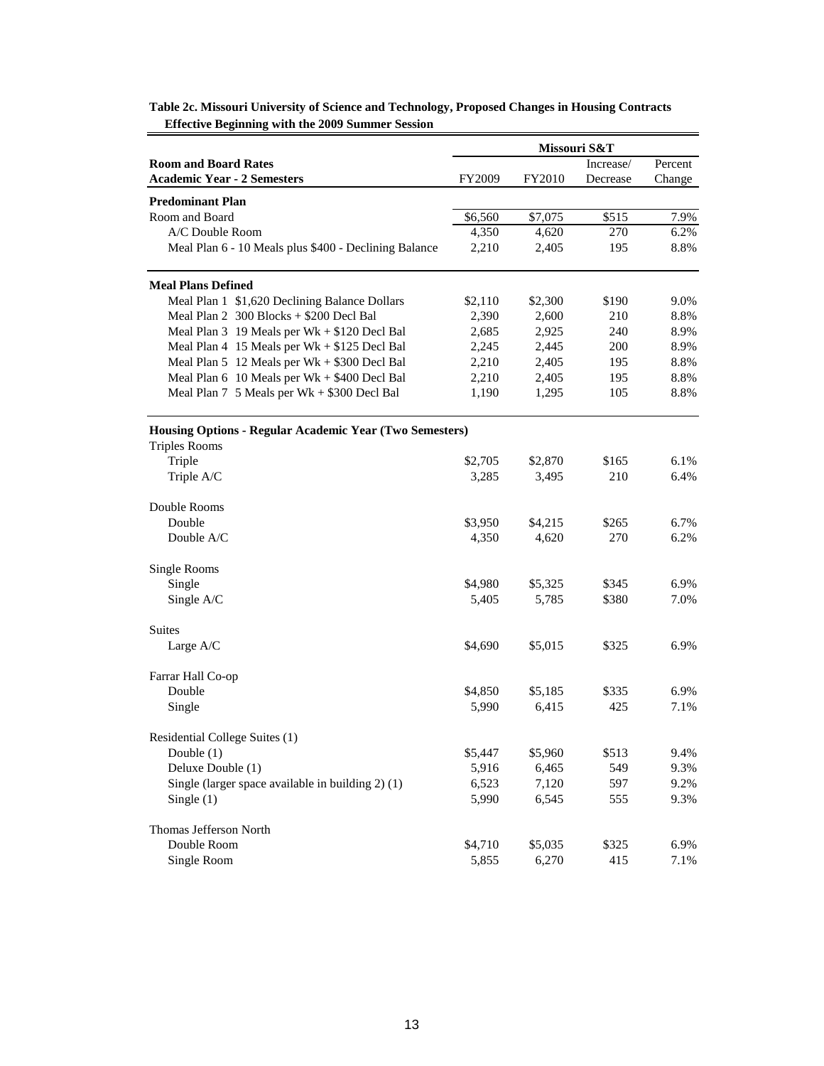|                                                         |         |         | Missouri S&T |         |
|---------------------------------------------------------|---------|---------|--------------|---------|
| <b>Room and Board Rates</b>                             |         |         | Increase/    | Percent |
| <b>Academic Year - 2 Semesters</b>                      | FY2009  | FY2010  | Decrease     | Change  |
| <b>Predominant Plan</b>                                 |         |         |              |         |
| Room and Board                                          | \$6,560 | \$7,075 | \$515        | 7.9%    |
| A/C Double Room                                         | 4,350   | 4,620   | 270          | 6.2%    |
| Meal Plan 6 - 10 Meals plus \$400 - Declining Balance   | 2,210   | 2,405   | 195          | 8.8%    |
| <b>Meal Plans Defined</b>                               |         |         |              |         |
| Meal Plan 1 \$1,620 Declining Balance Dollars           | \$2,110 | \$2,300 | \$190        | 9.0%    |
| Meal Plan $2 \overline{300}$ Blocks + \$200 Decl Bal    | 2,390   | 2,600   | 210          | 8.8%    |
| Meal Plan 3 19 Meals per Wk + \$120 Decl Bal            | 2,685   | 2,925   | 240          | 8.9%    |
| Meal Plan 4 15 Meals per Wk + \$125 Decl Bal            | 2,245   | 2,445   | 200          | 8.9%    |
| Meal Plan 5 12 Meals per Wk + \$300 Decl Bal            | 2,210   | 2,405   | 195          | 8.8%    |
| Meal Plan $6$ 10 Meals per $Wk + $400$ Decl Bal         | 2,210   | 2,405   | 195          | 8.8%    |
| Meal Plan $7\,$ 5 Meals per Wk + \$300 Decl Bal         | 1,190   | 1,295   | 105          | 8.8%    |
| Housing Options - Regular Academic Year (Two Semesters) |         |         |              |         |
| <b>Triples Rooms</b>                                    |         |         |              |         |
| Triple                                                  | \$2,705 | \$2,870 | \$165        | 6.1%    |
| Triple A/C                                              | 3,285   | 3,495   | 210          | 6.4%    |
| Double Rooms                                            |         |         |              |         |
| Double                                                  | \$3,950 | \$4,215 | \$265        | 6.7%    |
| Double A/C                                              | 4,350   | 4,620   | 270          | 6.2%    |
| Single Rooms                                            |         |         |              |         |
| Single                                                  | \$4,980 | \$5,325 | \$345        | 6.9%    |
| Single A/C                                              | 5,405   | 5,785   | \$380        | 7.0%    |
| Suites                                                  |         |         |              |         |
| Large A/C                                               | \$4,690 | \$5,015 | \$325        | 6.9%    |
| Farrar Hall Co-op                                       |         |         |              |         |
| Double                                                  | \$4,850 | \$5,185 | \$335        | 6.9%    |
| Single                                                  | 5,990   | 6,415   | 425          | 7.1%    |
| Residential College Suites (1)                          |         |         |              |         |
| Double $(1)$                                            | \$5,447 | \$5,960 | \$513        | 9.4%    |
| Deluxe Double (1)                                       | 5,916   | 6,465   | 549          | 9.3%    |
| Single (larger space available in building 2) (1)       | 6,523   | 7,120   | 597          | 9.2%    |
| Single $(1)$                                            | 5,990   | 6,545   | 555          | 9.3%    |
| Thomas Jefferson North                                  |         |         |              |         |
| Double Room                                             | \$4,710 | \$5,035 | \$325        | 6.9%    |
| Single Room                                             | 5,855   | 6,270   | 415          | 7.1%    |

**Table 2c. Missouri University of Science and Technology, Proposed Changes in Housing Contracts Effective Beginning with the 2009 Summer Session**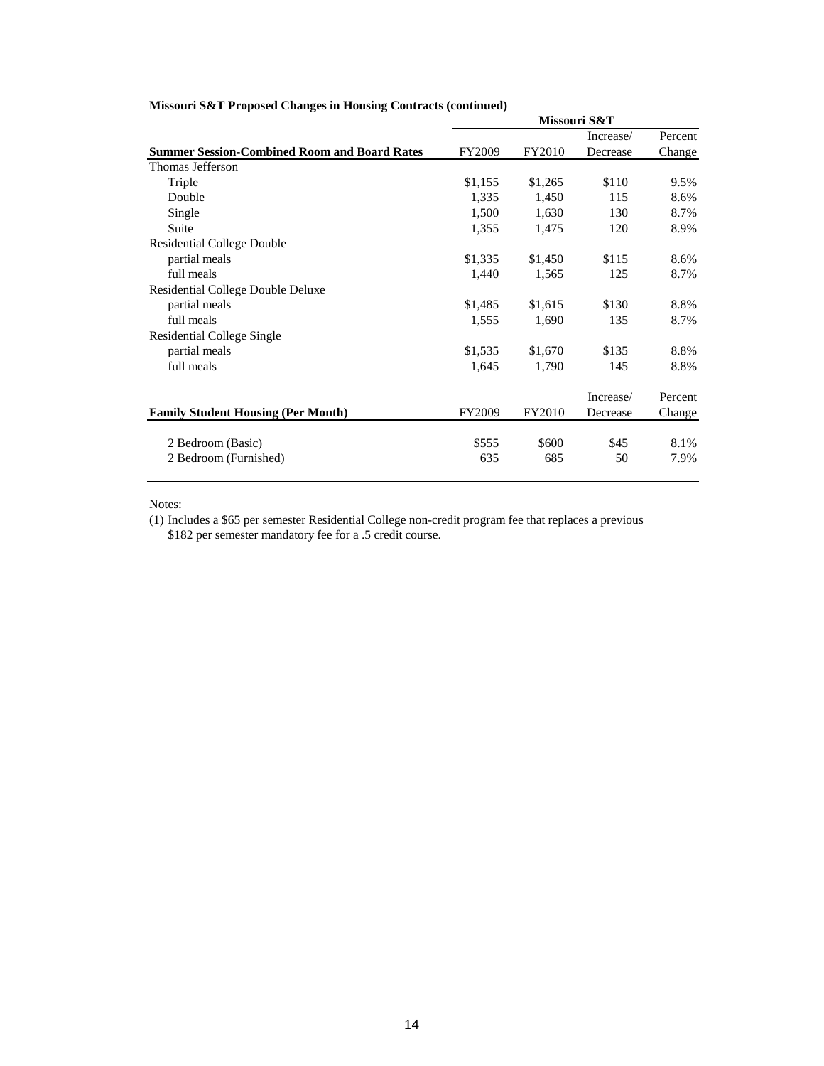|                                                     |               |         | Missouri S&T |         |
|-----------------------------------------------------|---------------|---------|--------------|---------|
|                                                     |               |         | Increase/    | Percent |
| <b>Summer Session-Combined Room and Board Rates</b> | <b>FY2009</b> | FY2010  | Decrease     | Change  |
| Thomas Jefferson                                    |               |         |              |         |
| Triple                                              | \$1,155       | \$1,265 | \$110        | 9.5%    |
| Double                                              | 1,335         | 1,450   | 115          | 8.6%    |
| Single                                              | 1,500         | 1,630   | 130          | 8.7%    |
| Suite                                               | 1,355         | 1,475   | 120          | 8.9%    |
| Residential College Double                          |               |         |              |         |
| partial meals                                       | \$1,335       | \$1,450 | \$115        | 8.6%    |
| full meals                                          | 1,440         | 1,565   | 125          | 8.7%    |
| <b>Residential College Double Deluxe</b>            |               |         |              |         |
| partial meals                                       | \$1,485       | \$1,615 | \$130        | 8.8%    |
| full meals                                          | 1,555         | 1,690   | 135          | 8.7%    |
| <b>Residential College Single</b>                   |               |         |              |         |
| partial meals                                       | \$1,535       | \$1,670 | \$135        | 8.8%    |
| full meals                                          | 1,645         | 1,790   | 145          | 8.8%    |
|                                                     |               |         | Increase/    | Percent |
| <b>Family Student Housing (Per Month)</b>           | FY2009        | FY2010  | Decrease     | Change  |
| 2 Bedroom (Basic)                                   | \$555         | \$600   | \$45         | 8.1%    |
| 2 Bedroom (Furnished)                               | 635           | 685     | 50           | 7.9%    |

## **Missouri S&T Proposed Changes in Housing Contracts (continued)**

Notes:

(1) Includes a \$65 per semester Residential College non-credit program fee that replaces a previous \$182 per semester mandatory fee for a .5 credit course.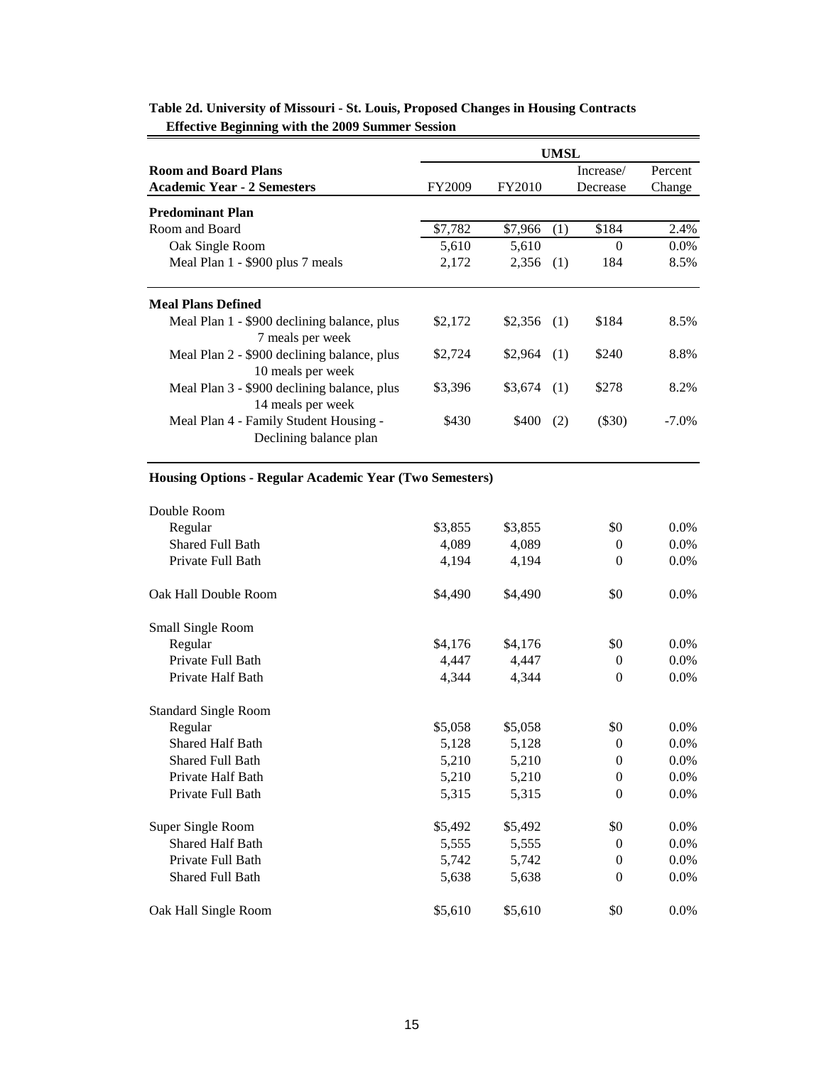|                                                                  |         |         | UMSL |           |          |
|------------------------------------------------------------------|---------|---------|------|-----------|----------|
| <b>Room and Board Plans</b>                                      |         |         |      | Increase/ | Percent  |
| <b>Academic Year - 2 Semesters</b>                               | FY2009  | FY2010  |      | Decrease  | Change   |
| <b>Predominant Plan</b>                                          |         |         |      |           |          |
| Room and Board                                                   | \$7,782 | \$7,966 | (1)  | \$184     | 2.4%     |
| Oak Single Room                                                  | 5,610   | 5,610   |      | $\Omega$  | $0.0\%$  |
| Meal Plan 1 - \$900 plus 7 meals                                 | 2,172   | 2,356   | (1)  | 184       | 8.5%     |
| <b>Meal Plans Defined</b>                                        |         |         |      |           |          |
| Meal Plan 1 - \$900 declining balance, plus<br>7 meals per week  | \$2,172 | \$2,356 | (1)  | \$184     | 8.5%     |
| Meal Plan 2 - \$900 declining balance, plus<br>10 meals per week | \$2,724 | \$2.964 | (1)  | \$240     | 8.8%     |
| Meal Plan 3 - \$900 declining balance, plus<br>14 meals per week | \$3.396 | \$3.674 | (1)  | \$278     | 8.2%     |
| Meal Plan 4 - Family Student Housing -<br>Declining balance plan | \$430   | \$400   | (2)  | $(\$30)$  | $-7.0\%$ |

## **Table 2d. University of Missouri - St. Louis, Proposed Changes in Housing Contracts Effective Beginning with the 2009 Summer Session**

## **Housing Options - Regular Academic Year (Two Semesters)**

| Double Room                 |         |         |              |         |
|-----------------------------|---------|---------|--------------|---------|
| Regular                     | \$3,855 | \$3,855 | \$0          | $0.0\%$ |
| Shared Full Bath            | 4,089   | 4,089   | $\theta$     | $0.0\%$ |
| Private Full Bath           | 4,194   | 4,194   | $\Omega$     | 0.0%    |
| Oak Hall Double Room        | \$4,490 | \$4,490 | \$0          | $0.0\%$ |
| Small Single Room           |         |         |              |         |
| Regular                     | \$4,176 | \$4,176 | \$0          | $0.0\%$ |
| Private Full Bath           | 4,447   | 4,447   | $\theta$     | 0.0%    |
| Private Half Bath           | 4,344   | 4,344   | $\Omega$     | $0.0\%$ |
| <b>Standard Single Room</b> |         |         |              |         |
| Regular                     | \$5,058 | \$5,058 | \$0          | 0.0%    |
| <b>Shared Half Bath</b>     | 5,128   | 5,128   | $\theta$     | $0.0\%$ |
| <b>Shared Full Bath</b>     | 5,210   | 5,210   | $\Omega$     | 0.0%    |
| Private Half Bath           | 5,210   | 5,210   | $\theta$     | 0.0%    |
| Private Full Bath           | 5,315   | 5,315   | $\mathbf{0}$ | 0.0%    |
| Super Single Room           | \$5,492 | \$5,492 | \$0          | 0.0%    |
| <b>Shared Half Bath</b>     | 5,555   | 5,555   | $\Omega$     | 0.0%    |
| Private Full Bath           | 5,742   | 5,742   | $\theta$     | 0.0%    |
| Shared Full Bath            | 5,638   | 5,638   | $\Omega$     | 0.0%    |
| Oak Hall Single Room        | \$5,610 | \$5,610 | \$0          | 0.0%    |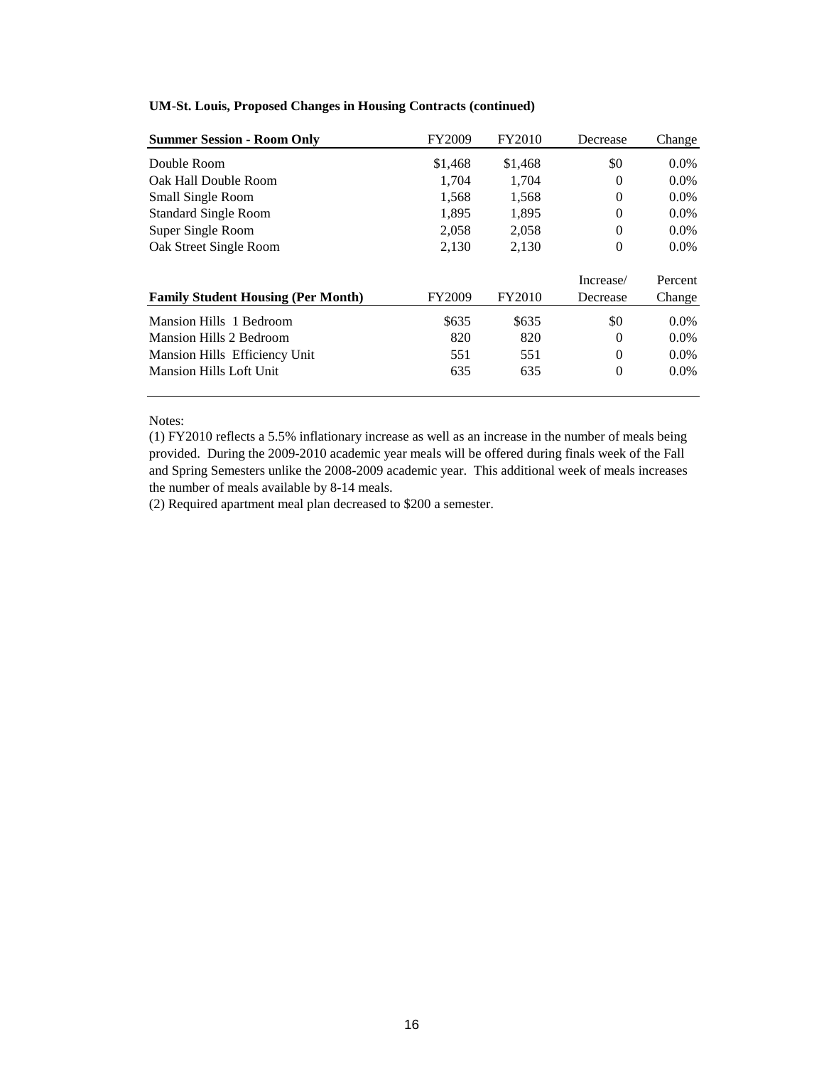| <b>Summer Session - Room Only</b>         | FY2009  | FY2010  | Decrease  | Change  |
|-------------------------------------------|---------|---------|-----------|---------|
| Double Room                               | \$1,468 | \$1,468 | \$0       | $0.0\%$ |
| Oak Hall Double Room                      | 1,704   | 1,704   | $\Omega$  | $0.0\%$ |
| <b>Small Single Room</b>                  | 1,568   | 1,568   | 0         | $0.0\%$ |
| <b>Standard Single Room</b>               | 1,895   | 1,895   | $\Omega$  | $0.0\%$ |
| Super Single Room                         | 2,058   | 2,058   | $\Omega$  | $0.0\%$ |
| Oak Street Single Room                    | 2,130   | 2,130   | $\theta$  | $0.0\%$ |
|                                           |         |         | Increase/ | Percent |
| <b>Family Student Housing (Per Month)</b> | FY2009  | FY2010  | Decrease  | Change  |
| Mansion Hills 1 Bedroom                   | \$635   | \$635   | \$0       | $0.0\%$ |
| <b>Mansion Hills 2 Bedroom</b>            | 820     | 820     | 0         | $0.0\%$ |
| Mansion Hills Efficiency Unit             | 551     | 551     | $\Omega$  | $0.0\%$ |
| <b>Mansion Hills Loft Unit</b>            | 635     | 635     | 0         | $0.0\%$ |

### **UM-St. Louis, Proposed Changes in Housing Contracts (continued)**

### Notes:

(1) FY2010 reflects a 5.5% inflationary increase as well as an increase in the number of meals being provided. During the 2009-2010 academic year meals will be offered during finals week of the Fall and Spring Semesters unlike the 2008-2009 academic year. This additional week of meals increases the number of meals available by 8-14 meals.

(2) Required apartment meal plan decreased to \$200 a semester.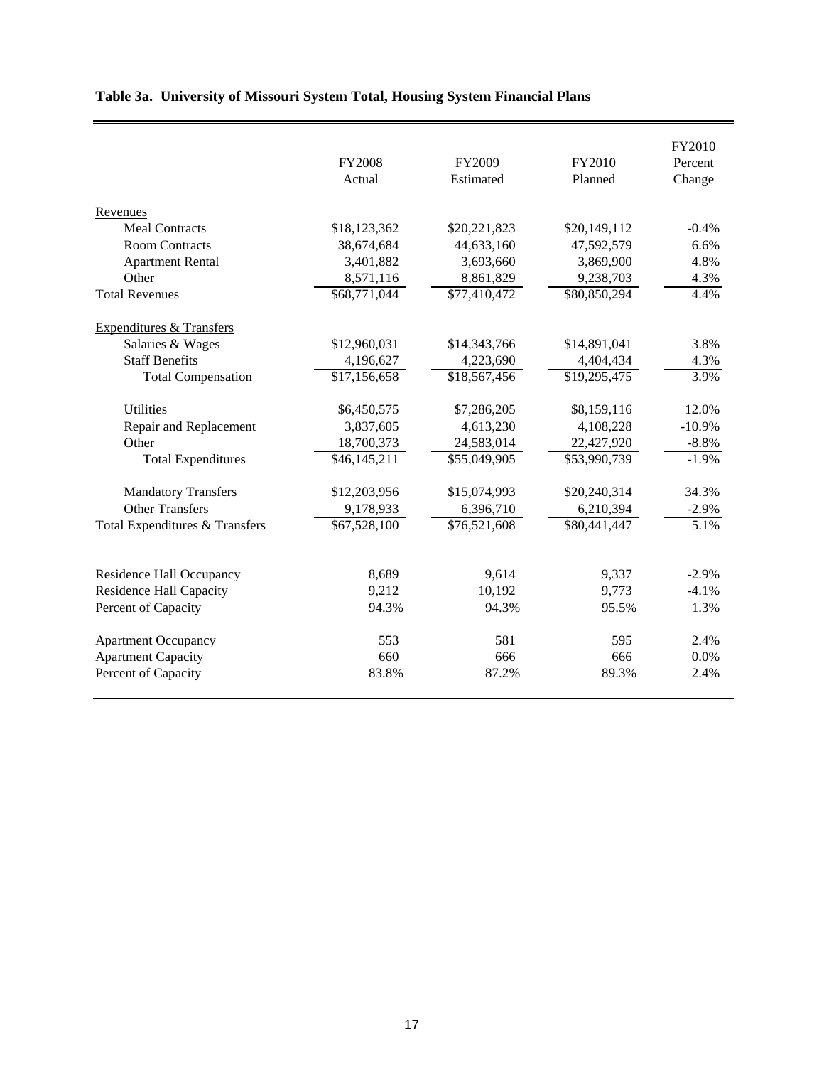|                                     |                          |              |              | FY2010   |
|-------------------------------------|--------------------------|--------------|--------------|----------|
|                                     | <b>FY2008</b>            | FY2009       | FY2010       | Percent  |
|                                     | Actual                   | Estimated    | Planned      | Change   |
|                                     |                          |              |              |          |
| Revenues                            |                          |              |              |          |
| <b>Meal Contracts</b>               | \$18,123,362             | \$20,221,823 | \$20,149,112 | $-0.4%$  |
| <b>Room Contracts</b>               | 38,674,684               | 44,633,160   | 47,592,579   | 6.6%     |
| <b>Apartment Rental</b>             | 3,401,882                | 3,693,660    | 3,869,900    | 4.8%     |
| Other                               | 8,571,116                | 8,861,829    | 9,238,703    | 4.3%     |
| <b>Total Revenues</b>               | \$68,771,044             | \$77,410,472 | \$80,850,294 | 4.4%     |
| <b>Expenditures &amp; Transfers</b> |                          |              |              |          |
| Salaries & Wages                    | \$12,960,031             | \$14,343,766 | \$14,891,041 | 3.8%     |
| <b>Staff Benefits</b>               | 4,196,627                | 4,223,690    | 4,404,434    | 4.3%     |
| <b>Total Compensation</b>           | \$17,156,658             | \$18,567,456 | \$19,295,475 | 3.9%     |
|                                     |                          |              |              |          |
| <b>Utilities</b>                    | \$6,450,575              | \$7,286,205  | \$8,159,116  | 12.0%    |
| Repair and Replacement              | 3,837,605                | 4,613,230    | 4,108,228    | $-10.9%$ |
| Other                               | 18,700,373               | 24,583,014   | 22,427,920   | $-8.8%$  |
| <b>Total Expenditures</b>           | $\overline{$46,145,211}$ | \$55,049,905 | \$53,990,739 | $-1.9%$  |
| <b>Mandatory Transfers</b>          | \$12,203,956             | \$15,074,993 | \$20,240,314 | 34.3%    |
| <b>Other Transfers</b>              | 9,178,933                | 6,396,710    | 6,210,394    | $-2.9%$  |
| Total Expenditures & Transfers      | \$67,528,100             | \$76,521,608 | \$80,441,447 | 5.1%     |
|                                     |                          |              |              |          |
| Residence Hall Occupancy            | 8,689                    | 9,614        | 9,337        | $-2.9%$  |
| <b>Residence Hall Capacity</b>      | 9,212                    | 10,192       | 9,773        | $-4.1%$  |
| Percent of Capacity                 | 94.3%                    | 94.3%        | 95.5%        | 1.3%     |
| <b>Apartment Occupancy</b>          | 553                      | 581          | 595          | 2.4%     |
| <b>Apartment Capacity</b>           | 660                      | 666          | 666          | 0.0%     |
| Percent of Capacity                 | 83.8%                    | 87.2%        | 89.3%        | 2.4%     |
|                                     |                          |              |              |          |

# **Table 3a. University of Missouri System Total, Housing System Financial Plans**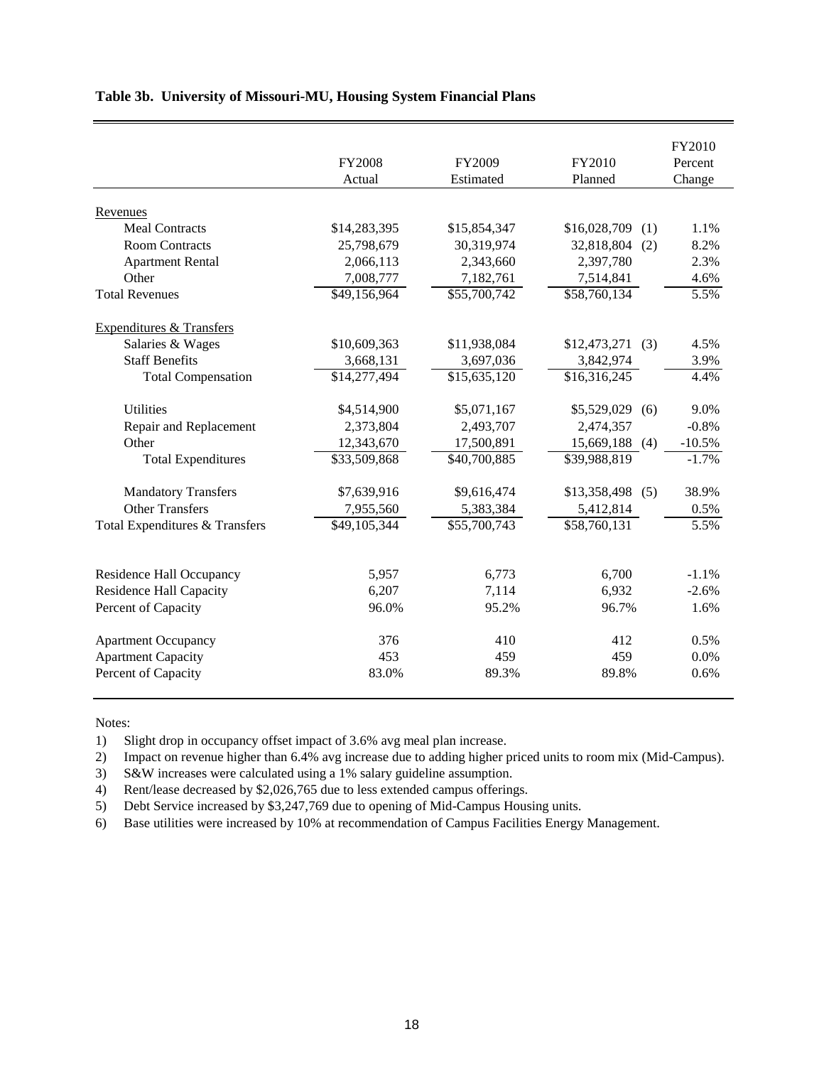|                                     |               |              |                     | FY2010   |
|-------------------------------------|---------------|--------------|---------------------|----------|
|                                     | <b>FY2008</b> | FY2009       | FY2010              | Percent  |
|                                     | Actual        | Estimated    | Planned             | Change   |
|                                     |               |              |                     |          |
| Revenues                            |               |              |                     |          |
| <b>Meal Contracts</b>               | \$14,283,395  | \$15,854,347 | \$16,028,709<br>(1) | 1.1%     |
| <b>Room Contracts</b>               | 25,798,679    | 30,319,974   | 32,818,804<br>(2)   | 8.2%     |
| <b>Apartment Rental</b>             | 2,066,113     | 2,343,660    | 2,397,780           | 2.3%     |
| Other                               | 7,008,777     | 7,182,761    | 7,514,841           | 4.6%     |
| <b>Total Revenues</b>               | \$49,156,964  | \$55,700,742 | \$58,760,134        | 5.5%     |
| <b>Expenditures &amp; Transfers</b> |               |              |                     |          |
| Salaries & Wages                    | \$10,609,363  | \$11,938,084 | \$12,473,271<br>(3) | 4.5%     |
| <b>Staff Benefits</b>               | 3,668,131     | 3,697,036    | 3,842,974           | 3.9%     |
| <b>Total Compensation</b>           | \$14,277,494  | \$15,635,120 | \$16,316,245        | 4.4%     |
| <b>Utilities</b>                    | \$4,514,900   | \$5,071,167  | \$5,529,029<br>(6)  | 9.0%     |
| Repair and Replacement              | 2,373,804     | 2,493,707    | 2,474,357           | $-0.8%$  |
| Other                               | 12,343,670    | 17,500,891   | 15,669,188 (4)      | $-10.5%$ |
| <b>Total Expenditures</b>           | \$33,509,868  | \$40,700,885 | \$39,988,819        | $-1.7%$  |
|                                     |               |              |                     |          |
| <b>Mandatory Transfers</b>          | \$7,639,916   | \$9,616,474  | $$13,358,498$ (5)   | 38.9%    |
| <b>Other Transfers</b>              | 7,955,560     | 5,383,384    | 5,412,814           | 0.5%     |
| Total Expenditures & Transfers      | \$49,105,344  | \$55,700,743 | \$58,760,131        | 5.5%     |
|                                     |               |              |                     |          |
| Residence Hall Occupancy            | 5,957         | 6,773        | 6,700               | $-1.1%$  |
| <b>Residence Hall Capacity</b>      | 6,207         | 7,114        | 6,932               | $-2.6%$  |
| Percent of Capacity                 | 96.0%         | 95.2%        | 96.7%               | 1.6%     |
| <b>Apartment Occupancy</b>          | 376           | 410          | 412                 | 0.5%     |
| <b>Apartment Capacity</b>           | 453           | 459          | 459                 | 0.0%     |
| Percent of Capacity                 | 83.0%         | 89.3%        | 89.8%               | 0.6%     |

## **Table 3b. University of Missouri-MU, Housing System Financial Plans**

#### Notes:

1) Slight drop in occupancy offset impact of 3.6% avg meal plan increase.

2) Impact on revenue higher than 6.4% avg increase due to adding higher priced units to room mix (Mid-Campus).

3) S&W increases were calculated using a 1% salary guideline assumption.

4) Rent/lease decreased by \$2,026,765 due to less extended campus offerings.

5) Debt Service increased by \$3,247,769 due to opening of Mid-Campus Housing units.

6) Base utilities were increased by 10% at recommendation of Campus Facilities Energy Management.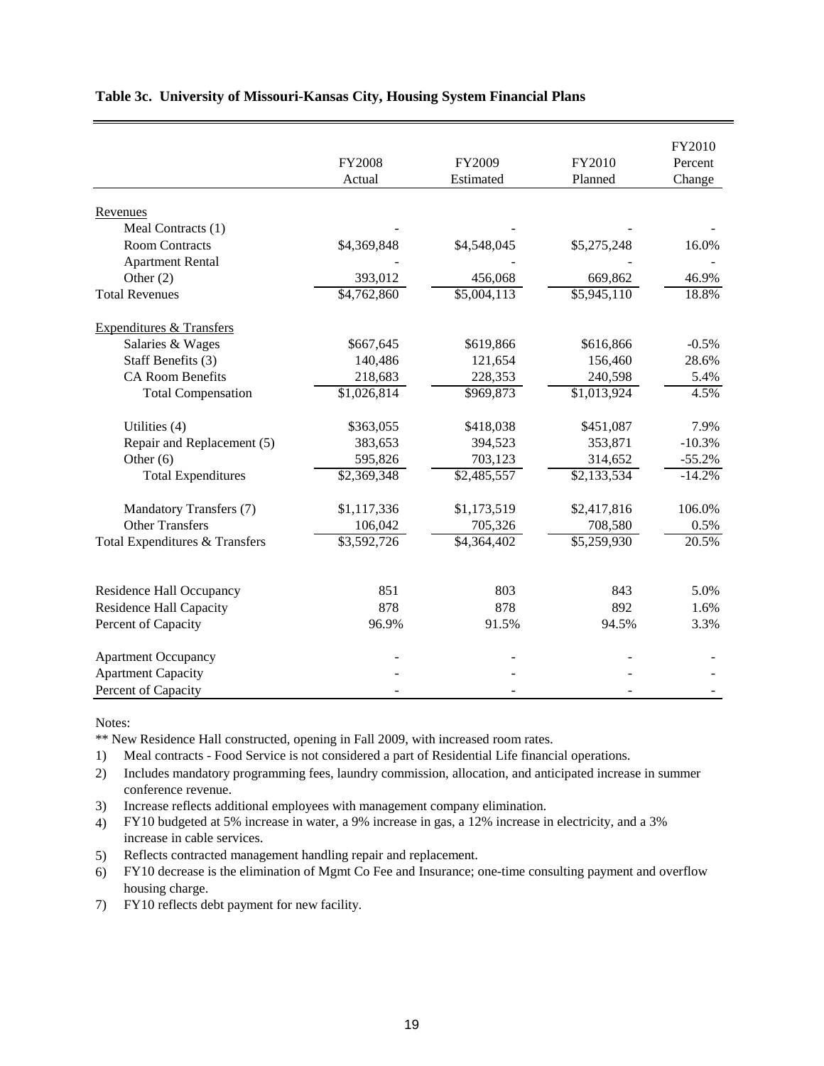|                                     |             |             |             | FY2010   |
|-------------------------------------|-------------|-------------|-------------|----------|
|                                     | FY2008      | FY2009      | FY2010      | Percent  |
|                                     | Actual      | Estimated   | Planned     | Change   |
| Revenues                            |             |             |             |          |
| Meal Contracts (1)                  |             |             |             |          |
| <b>Room Contracts</b>               | \$4,369,848 | \$4,548,045 | \$5,275,248 | 16.0%    |
| <b>Apartment Rental</b>             |             |             |             |          |
| Other $(2)$                         | 393,012     | 456,068     | 669,862     | 46.9%    |
| <b>Total Revenues</b>               | \$4,762,860 | \$5,004,113 | \$5,945,110 | 18.8%    |
|                                     |             |             |             |          |
| <b>Expenditures &amp; Transfers</b> |             |             |             |          |
| Salaries & Wages                    | \$667,645   | \$619,866   | \$616,866   | $-0.5%$  |
| Staff Benefits (3)                  | 140,486     | 121,654     | 156,460     | 28.6%    |
| <b>CA Room Benefits</b>             | 218,683     | 228,353     | 240,598     | 5.4%     |
| <b>Total Compensation</b>           | \$1,026,814 | \$969,873   | \$1,013,924 | 4.5%     |
| Utilities (4)                       | \$363,055   | \$418,038   | \$451,087   | 7.9%     |
| Repair and Replacement (5)          | 383,653     | 394,523     | 353,871     | $-10.3%$ |
| Other $(6)$                         | 595,826     | 703,123     | 314,652     | $-55.2%$ |
| <b>Total Expenditures</b>           | \$2,369,348 | \$2,485,557 | \$2,133,534 | $-14.2%$ |
|                                     |             |             |             |          |
| Mandatory Transfers (7)             | \$1,117,336 | \$1,173,519 | \$2,417,816 | 106.0%   |
| <b>Other Transfers</b>              | 106,042     | 705,326     | 708,580     | 0.5%     |
| Total Expenditures & Transfers      | \$3,592,726 | \$4,364,402 | \$5,259,930 | 20.5%    |
|                                     |             |             |             |          |
| Residence Hall Occupancy            | 851         | 803         | 843         | 5.0%     |
| <b>Residence Hall Capacity</b>      | 878         | 878         | 892         | 1.6%     |
| Percent of Capacity                 | 96.9%       | 91.5%       | 94.5%       | 3.3%     |
| <b>Apartment Occupancy</b>          |             |             |             |          |
| <b>Apartment Capacity</b>           |             |             |             |          |
| Percent of Capacity                 |             |             |             |          |

## **Table 3c. University of Missouri-Kansas City, Housing System Financial Plans**

Notes:

\*\* New Residence Hall constructed, opening in Fall 2009, with increased room rates.

- 1) Meal contracts Food Service is not considered a part of Residential Life financial operations.
- 2) Includes mandatory programming fees, laundry commission, allocation, and anticipated increase in summer conference revenue.
- 3) Increase reflects additional employees with management company elimination.

4) FY10 budgeted at 5% increase in water, a 9% increase in gas, a 12% increase in electricity, and a 3% increase in cable services.

5) Reflects contracted management handling repair and replacement.

6) FY10 decrease is the elimination of Mgmt Co Fee and Insurance; one-time consulting payment and overflow housing charge.

7) FY10 reflects debt payment for new facility.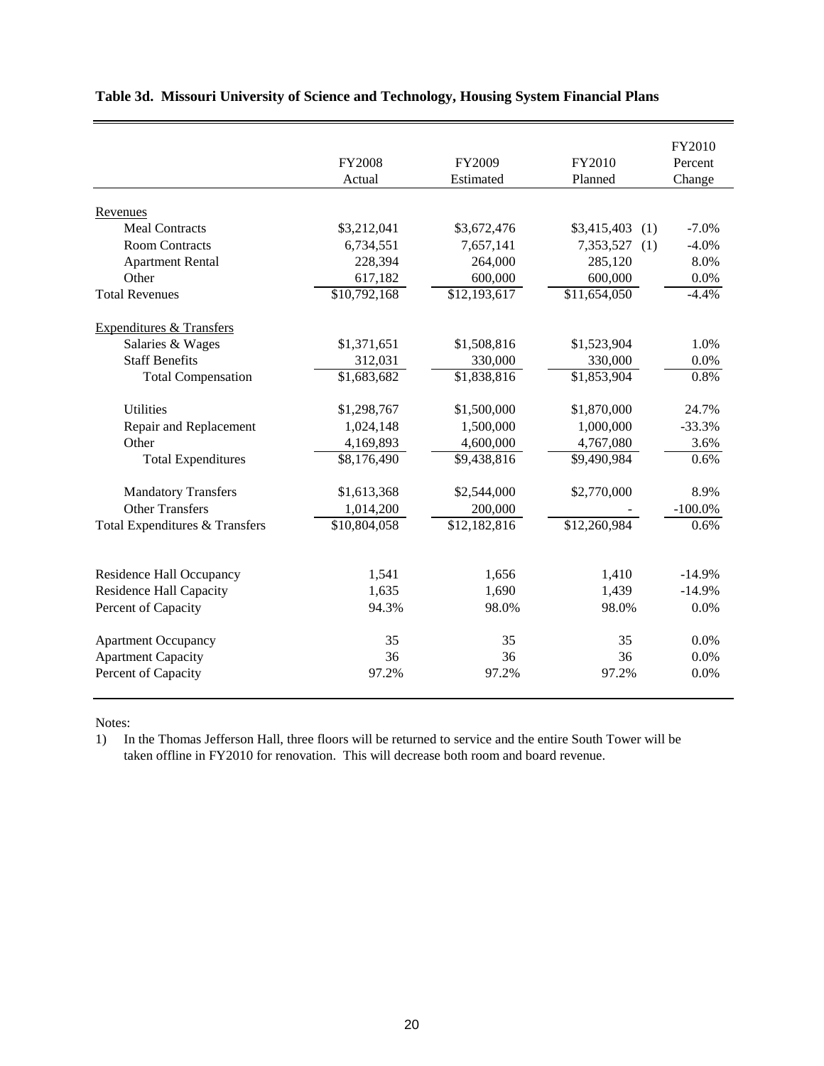|                                     | <b>FY2008</b> | FY2009       | FY2010             | FY2010<br>Percent |
|-------------------------------------|---------------|--------------|--------------------|-------------------|
|                                     | Actual        | Estimated    | Planned            | Change            |
| Revenues                            |               |              |                    |                   |
| <b>Meal Contracts</b>               | \$3,212,041   | \$3,672,476  | \$3,415,403<br>(1) | $-7.0%$           |
| <b>Room Contracts</b>               | 6,734,551     | 7,657,141    | 7,353,527<br>(1)   | $-4.0%$           |
| <b>Apartment Rental</b>             | 228,394       | 264,000      | 285,120            | 8.0%              |
| Other                               | 617,182       | 600,000      | 600,000            | 0.0%              |
| <b>Total Revenues</b>               | \$10,792,168  | \$12,193,617 | \$11,654,050       | $-4.4%$           |
| <b>Expenditures &amp; Transfers</b> |               |              |                    |                   |
| Salaries & Wages                    | \$1,371,651   | \$1,508,816  | \$1,523,904        | 1.0%              |
| <b>Staff Benefits</b>               | 312,031       | 330,000      | 330,000            | 0.0%              |
| <b>Total Compensation</b>           | \$1,683,682   | \$1,838,816  | \$1,853,904        | 0.8%              |
| <b>Utilities</b>                    | \$1,298,767   | \$1,500,000  | \$1,870,000        | 24.7%             |
| Repair and Replacement              | 1,024,148     | 1,500,000    | 1,000,000          | $-33.3%$          |
| Other                               | 4,169,893     | 4,600,000    | 4,767,080          | 3.6%              |
| <b>Total Expenditures</b>           | \$8,176,490   | \$9,438,816  | \$9,490,984        | 0.6%              |
| <b>Mandatory Transfers</b>          | \$1,613,368   | \$2,544,000  | \$2,770,000        | 8.9%              |
| <b>Other Transfers</b>              | 1,014,200     | 200,000      |                    | $-100.0\%$        |
| Total Expenditures & Transfers      | \$10,804,058  | \$12,182,816 | \$12,260,984       | $0.6\%$           |
|                                     |               |              |                    |                   |
| Residence Hall Occupancy            | 1,541         | 1,656        | 1,410              | $-14.9%$          |
| <b>Residence Hall Capacity</b>      | 1,635         | 1,690        | 1,439              | $-14.9%$          |
| Percent of Capacity                 | 94.3%         | 98.0%        | 98.0%              | 0.0%              |
| <b>Apartment Occupancy</b>          | 35            | 35           | 35                 | 0.0%              |
| <b>Apartment Capacity</b>           | 36            | 36           | 36                 | 0.0%              |
| Percent of Capacity                 | 97.2%         | 97.2%        | 97.2%              | $0.0\%$           |

## **Table 3d. Missouri University of Science and Technology, Housing System Financial Plans**

Notes:

1) In the Thomas Jefferson Hall, three floors will be returned to service and the entire South Tower will be taken offline in FY2010 for renovation. This will decrease both room and board revenue.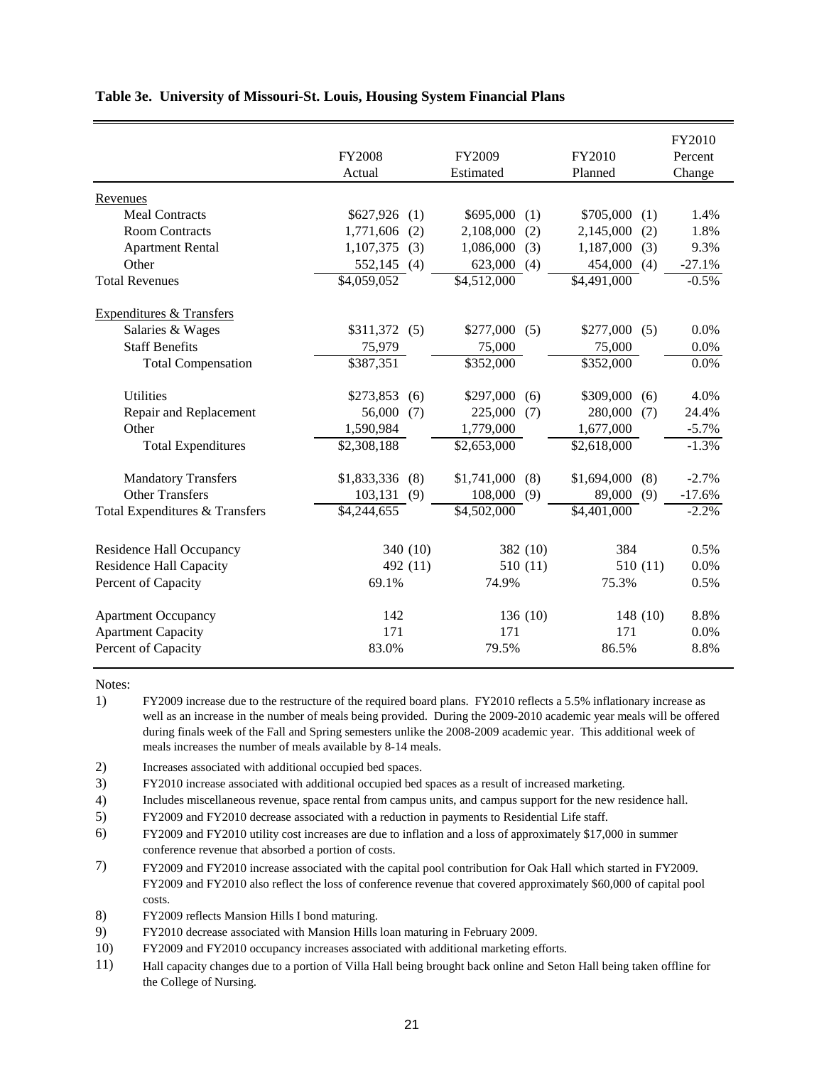|                                     |                       |                         |                       | FY2010   |
|-------------------------------------|-----------------------|-------------------------|-----------------------|----------|
|                                     | <b>FY2008</b>         | FY2009                  | FY2010                | Percent  |
|                                     | Actual                | Estimated               | Planned               | Change   |
| Revenues                            |                       |                         |                       |          |
| <b>Meal Contracts</b>               | \$627,926<br>(1)      | \$695,000<br>(1)        | \$705,000<br>(1)      | 1.4%     |
| <b>Room Contracts</b>               | 1,771,606<br>(2)      | 2,108,000<br>(2)        | 2,145,000<br>(2)      | 1.8%     |
| <b>Apartment Rental</b>             | 1,107,375<br>(3)      | 1,086,000<br>(3)        | 1,187,000<br>(3)      | 9.3%     |
| Other                               | 552,145<br>(4)        | 623,000<br>(4)          | 454,000<br>(4)        | $-27.1%$ |
| <b>Total Revenues</b>               | \$4,059,052           | \$4,512,000             | $\sqrt{4,491,000}$    | $-0.5%$  |
| <b>Expenditures &amp; Transfers</b> |                       |                         |                       |          |
| Salaries & Wages                    | \$311,372<br>(5)      | \$277,000<br>(5)        | \$277,000<br>(5)      | 0.0%     |
| <b>Staff Benefits</b>               | 75,979                | 75,000                  | 75,000                | 0.0%     |
| <b>Total Compensation</b>           | $\overline{$}387,351$ | \$352,000               | $\overline{$}352,000$ | $0.0\%$  |
| <b>Utilities</b>                    | \$273,853<br>(6)      | \$297,000<br>(6)        | \$309,000<br>(6)      | 4.0%     |
| Repair and Replacement              | 56,000<br>(7)         | 225,000<br>(7)          | 280,000<br>(7)        | 24.4%    |
| Other                               | 1,590,984             | 1,779,000               | 1,677,000             | $-5.7%$  |
| <b>Total Expenditures</b>           | \$2,308,188           | \$2,653,000             | \$2,618,000           | $-1.3%$  |
| <b>Mandatory Transfers</b>          | \$1,833,336<br>(8)    | \$1,741,000<br>(8)      | \$1,694,000<br>(8)    | $-2.7%$  |
| <b>Other Transfers</b>              | 103,131<br>(9)        | 108,000<br>(9)          | 89,000<br>(9)         | $-17.6%$ |
| Total Expenditures & Transfers      | \$4,244,655           | $\overline{84,}502,000$ | \$4,401,000           | $-2.2%$  |
| Residence Hall Occupancy            | 340 (10)              | 382 (10)                | 384                   | 0.5%     |
| <b>Residence Hall Capacity</b>      | 492 (11)              | 510 (11)                | 510(11)               | 0.0%     |
| Percent of Capacity                 | 69.1%                 | 74.9%                   | 75.3%                 | 0.5%     |
| <b>Apartment Occupancy</b>          | 142                   | 136 (10)                | 148 (10)              | 8.8%     |
| <b>Apartment Capacity</b>           | 171                   | 171                     | 171                   | 0.0%     |
| Percent of Capacity                 | 83.0%                 | 79.5%                   | 86.5%                 | 8.8%     |
|                                     |                       |                         |                       |          |

## **Table 3e. University of Missouri-St. Louis, Housing System Financial Plans**

Notes:

1) FY2009 increase due to the restructure of the required board plans. FY2010 reflects a 5.5% inflationary increase as well as an increase in the number of meals being provided. During the 2009-2010 academic year meals will be offered during finals week of the Fall and Spring semesters unlike the 2008-2009 academic year. This additional week of meals increases the number of meals available by 8-14 meals.

2) Increases associated with additional occupied bed spaces.

3) FY2010 increase associated with additional occupied bed spaces as a result of increased marketing.

4) Includes miscellaneous revenue, space rental from campus units, and campus support for the new residence hall.

5) FY2009 and FY2010 decrease associated with a reduction in payments to Residential Life staff.

- 6) FY2009 and FY2010 utility cost increases are due to inflation and a loss of approximately \$17,000 in summer conference revenue that absorbed a portion of costs.
- 7) FY2009 and FY2010 increase associated with the capital pool contribution for Oak Hall which started in FY2009. FY2009 and FY2010 also reflect the loss of conference revenue that covered approximately \$60,000 of capital pool costs.

8) FY2009 reflects Mansion Hills I bond maturing.

9) FY2010 decrease associated with Mansion Hills loan maturing in February 2009.

10) FY2009 and FY2010 occupancy increases associated with additional marketing efforts.

11) Hall capacity changes due to a portion of Villa Hall being brought back online and Seton Hall being taken offline for the College of Nursing.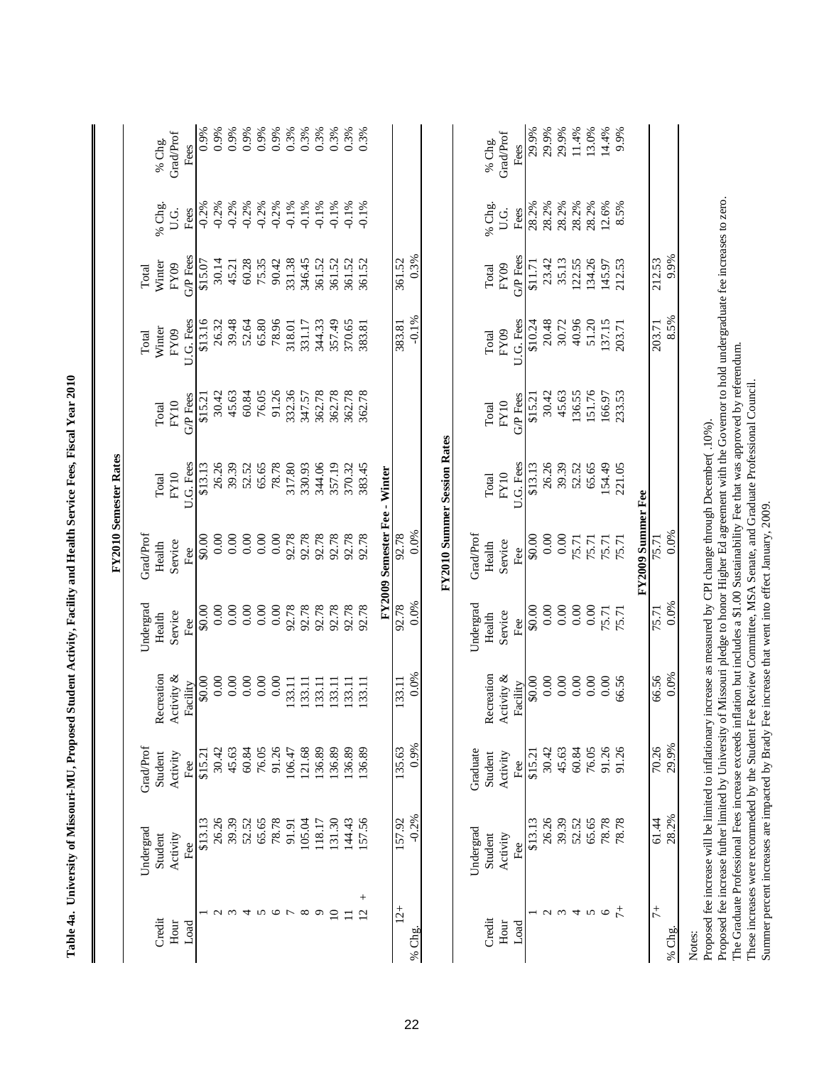|                          |                                                                                                                                                                                                                         |                      |                        |                     |                              | FY2010 Semester Rates              |                  |                   |                  |              |                          |
|--------------------------|-------------------------------------------------------------------------------------------------------------------------------------------------------------------------------------------------------------------------|----------------------|------------------------|---------------------|------------------------------|------------------------------------|------------------|-------------------|------------------|--------------|--------------------------|
| Credit                   | Undergrad<br>Student                                                                                                                                                                                                    | Grad/Prof<br>Student | Recreation             | Undergrad<br>Health | GradProf<br>Health           | Total                              | Total            | Winter<br>Total   | Winter<br>Total  | % Chg.       | % Chg.                   |
| Hour<br>Load             | Activity<br>Fee                                                                                                                                                                                                         | Activity<br>Fee      | Activity &<br>Facility | Service<br>Fee      | Service<br>Fee               | U.G. Fees<br>FY10                  | G/P Fees<br>FY10 | U.G. Fees<br>FY09 | G/P Fees<br>FY09 | U.G.<br>Fees | <b>Grad/Prof</b><br>Fees |
|                          | \$13.13                                                                                                                                                                                                                 | \$15.21              | \$0.00                 | \$0.00              | \$0.00                       | \$13.13                            | \$15.21          | \$13.16           | \$15.07          | $-0.2%$      | 0.9%                     |
| $\mathcal{L}$            | 26.26                                                                                                                                                                                                                   | 30.42                | 0.00                   | 0.00                | 0.00                         | 26.26                              | 30.42            | 26.32             | 30.14            | $-0.2%$      | 0.9%                     |
| $\omega$                 | 39.39                                                                                                                                                                                                                   | 45.63                | 0.00                   | 0.00                | $0.00\,$                     | 39.39                              | 45.63            | 39.48             | 45.21            | $-0.2%$      | 0.9%                     |
| 4                        | 52.52                                                                                                                                                                                                                   | 60.84                | 0.00                   | 0.00                | 0.00                         | 52.52                              | 60.84            | 52.64             | 60.28            | $-0.2%$      | 0.9%                     |
| S                        | 65.65                                                                                                                                                                                                                   | 76.05                | 0.00                   | 0.00                | 0.00                         | 65.65                              | 76.05            | 65.80             | 75.35            | $-0.2%$      | 0.9%                     |
| $\circ$                  | 78.78                                                                                                                                                                                                                   | 91.26                | 0.00                   | 0.00                | 0.00                         | 78.78                              | 91.26            | 78.96             | 90.42            | $-0.2%$      | 0.9%                     |
|                          | 91.91                                                                                                                                                                                                                   | 106.47               | 133.11                 | 92.78               | 92.78                        | 317.80                             | 332.36           | 318.01            | 331.38           | $-0.1%$      | 0.3%                     |
| ${}^{\circ}$             | 105.04                                                                                                                                                                                                                  | 121.68               | 133.11                 | 92.78               | 92.78                        | 330.93                             | 347.57           | 331.17            | 346.45           | $-0.1%$      | 0.3%                     |
| $\circ$                  | 118.17                                                                                                                                                                                                                  | 136.89               | 133.11                 | 92.78               | 92.78                        | 344.06                             | 362.78           | 344.33            | 361.52           | $-0.1%$      | 0.3%                     |
| $\Omega$                 | 131.30                                                                                                                                                                                                                  | 136.89               | 133.11                 | 92.78               | 92.78                        | 357.19                             | 362.78           | 357.49            | 361.52           | $-0.1%$      | 0.3%                     |
| Ξ                        | 144.43                                                                                                                                                                                                                  | 136.89               | 133.11                 | 92.78               | 92.78                        | 370.32                             | 362.78           | 370.65            | 361.52           | $-0.1%$      | 0.3%                     |
| $^{+}$<br>$\overline{2}$ | 57.56                                                                                                                                                                                                                   | 136.89               | 133.11                 | 92.78               | 92.78                        | 383.45                             | 362.78           | 383.81            | 361.52           | $-0.1%$      | 0.3%                     |
|                          |                                                                                                                                                                                                                         |                      |                        |                     | FY2009 Semester Fee - Winter |                                    |                  |                   |                  |              |                          |
| $12 +$                   | 157.92                                                                                                                                                                                                                  | 135.63               | 133.11                 | 92.78               | 92.78                        |                                    |                  | 383.81            | 361.52           |              |                          |
| % Chg.                   | $-0.2%$                                                                                                                                                                                                                 | 0.9%                 | 0.0%                   | 0.0%                | 0.0%                         |                                    |                  | $-0.1\%$          | 0.3%             |              |                          |
|                          |                                                                                                                                                                                                                         |                      |                        |                     |                              | <b>FY2010 Summer Session Rates</b> |                  |                   |                  |              |                          |
|                          | Undergrad                                                                                                                                                                                                               | Graduate             |                        | Undergrad           | Grad/Prof                    |                                    |                  |                   |                  |              |                          |
| Credit                   | Student                                                                                                                                                                                                                 | Student              | Recreation             | Health              | Health                       | Total                              | Total            | Total             | Total            | % Chg.       | % Chg.                   |
| Hour                     | Activity                                                                                                                                                                                                                | Activity             | Activity &             | Service             | Service                      | FY10                               | FY10             | FY09              | FY09             | U.G.         | <b>Grad/Prof</b>         |
| Load                     | Fee                                                                                                                                                                                                                     | Fee                  | Facility               | Fee                 | Fee                          | U.G. Fees                          | G/P Fees         | U.G. Fees         | G/P Fees         | Fees         | Fees                     |
|                          | \$13.13                                                                                                                                                                                                                 | \$15.21              | \$0.00                 | 00.0\$              | $\frac{1}{2}$                | \$13.13                            | \$15.21          | \$10.24           | \$11.71          | 28.2%        | 29.9%                    |
| $\sim$                   | 26.26                                                                                                                                                                                                                   | 30.42                | $0.00$                 | 0.00                | 0.00                         | 26.26                              | 30.42            | 20.48             | 23.42            | 28.2%        | 29.9%                    |
| $\epsilon$               | 39.39                                                                                                                                                                                                                   | 45.63                | 0.00                   | 0.00                | 0.00                         | 39.39                              | 45.63            | 30.72             | 35.13            | 28.2%        | 29.9%                    |
|                          | 52.52                                                                                                                                                                                                                   | 60.84                | 0.00                   | 0.00                | 75.71                        | 52.52                              | 136.55           | 40.96             | 122.55           | 28.2%        | 11.4%                    |
| 4v                       | 65.65                                                                                                                                                                                                                   | 76.05                | 0.00                   | 0.00                | 75.71                        | 65.65                              | 151.76           | 51.20             | 134.26           | 28.2%        | 13.0%                    |
| $\circ$                  | 78.78                                                                                                                                                                                                                   | 91.26                | 0.00                   | 75.71               | 75.71                        | 154.49                             | 166.97           | 137.15            | 145.97           | 12.6%        | 14.4%                    |
| $\ddot{\tau}$            | 78.78                                                                                                                                                                                                                   | 91.26                | 66.56                  | 75.71               | 75.71                        | 221.05                             | 233.53           | 203.71            | 212.53           | 8.5%         | 9.9%                     |
|                          |                                                                                                                                                                                                                         |                      |                        |                     | FY2009 Summer Fee            |                                    |                  |                   |                  |              |                          |
| $\ddot{7}$               | 61.44                                                                                                                                                                                                                   | 70.26                | 66.56                  | 75.71               | 75.71                        |                                    |                  | 203.71            | 212.53           |              |                          |
| % Chg.                   | 28.2%                                                                                                                                                                                                                   | 29.9%                | 0.0%                   | 0.0%                | 0.0%                         |                                    |                  | 8.5%              | 9.9%             |              |                          |
| Notes:                   | Proposed fee increase will be limited to inflationary increase as measured by CPI change through December(.10%).                                                                                                        |                      |                        |                     |                              |                                    |                  |                   |                  |              |                          |
|                          | Proposed fee increase futher limited by University of Missouri pledge to honor Higher Ed agreement with the Governor to hold undergraduate fee increases to zero.                                                       |                      |                        |                     |                              |                                    |                  |                   |                  |              |                          |
|                          | The Graduate Professional Fees increase exceeds inflation but includes a \$1.00 Sustainability Fee that was approved by referendum.                                                                                     |                      |                        |                     |                              |                                    |                  |                   |                  |              |                          |
|                          | These increases were recommeded by the Student Fee Review Committee, MSA Senate, and Graduate Professional Council.<br>Summer percent increases are impacted by Brady Fee increase that went into effect January, 2009. |                      |                        |                     |                              |                                    |                  |                   |                  |              |                          |
|                          |                                                                                                                                                                                                                         |                      |                        |                     |                              |                                    |                  |                   |                  |              |                          |

| $\frac{1}{2}$<br>֚֬֕<br>ı |
|---------------------------|
|                           |
| $\frac{1}{2}$<br>j        |
| I                         |
|                           |
| てきこう                      |
|                           |
| i                         |
| I                         |
|                           |
|                           |
| $\frac{1}{1}$<br>l        |
| $\frac{1}{2}$<br>ı        |
| $\frac{1}{1}$             |
| i                         |
|                           |
| i                         |
| <b>Supervisor</b>         |
| T-17                      |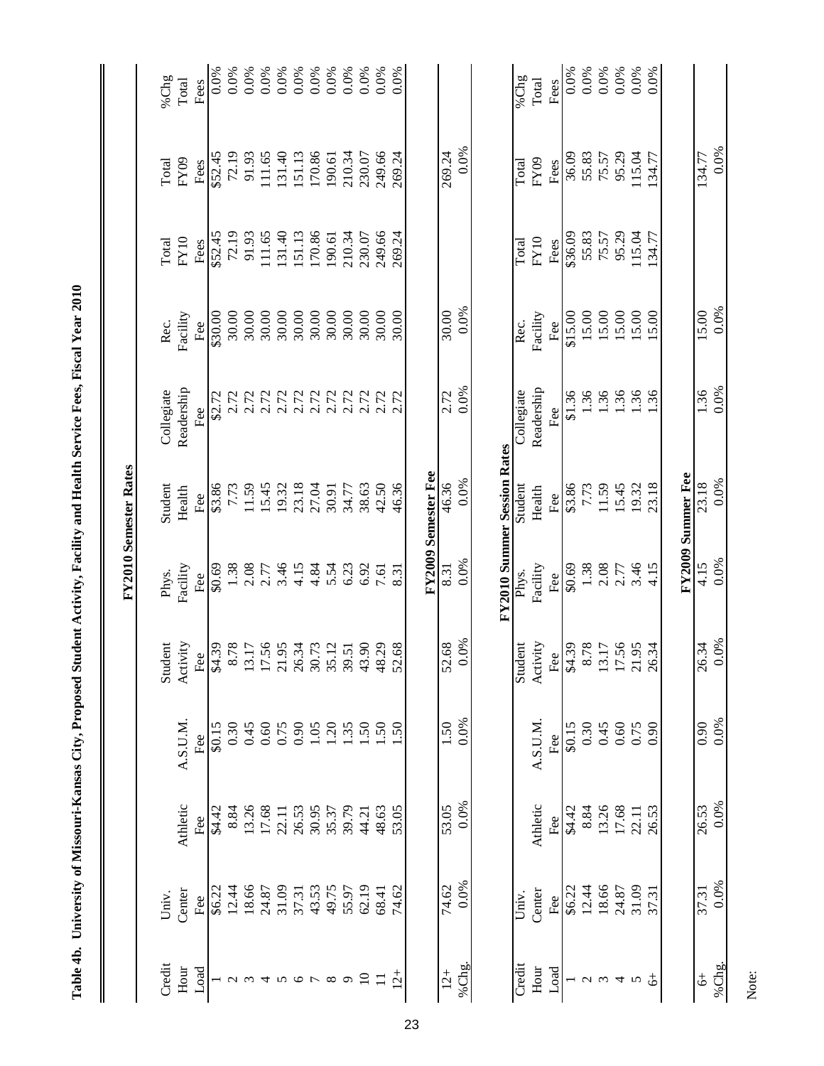Table 4b. University of Missouri-Kansas City, Proposed Student Activity, Facility and Health Service Fees, Fiscal Year 2010 **Table 4b. University of Missouri-Kansas City, Proposed Student Activity, Facility and Health Service Fees, Fiscal Year 2010**

 $\mathbf{l}$ 

|                                |        |          |                 |                         |          | <b>FY2010 Semester Rates</b>       |                      |          |         |         |                                                                |
|--------------------------------|--------|----------|-----------------|-------------------------|----------|------------------------------------|----------------------|----------|---------|---------|----------------------------------------------------------------|
| Credit                         | Univ.  |          |                 | Student                 | Phys.    | Student                            | Collegiate           | Rec.     | Total   | Total   | %Chg                                                           |
| Hour                           | Center | Athletic | A.S.U.M.        | Activity                | Facility | Health                             | Readership           | Facility | FY10    | FY09    | $\rm Total$                                                    |
| Load                           | Fee    | Fee      | Fee             | Fee                     | Fee      | Fee                                | Fee                  | Fee      | Fees    | Fees    | Fees                                                           |
|                                | \$6.22 | \$4.42   | \$0.15          | \$4.39                  | \$0.69   | \$3.86                             | \$2.72               | \$30.00  | \$52.45 | \$52.45 | 0.0%                                                           |
| $\mathbf{\Omega}$              | 12.44  | 8.84     | 0.30            | 8.78                    | 1.38     | 7.73                               | 2.72                 | 30.00    | 72.19   | 72.19   | 0.0%                                                           |
|                                | 18.66  | 13.26    | 0.45            | 13.17                   | 2.08     | 11.59                              | 2.72                 | 30.00    | 91.93   | 91.93   | 0.0%                                                           |
| $\overline{4}$                 | 24.87  | 17.68    | 0.60            | 17.56<br>21.95          | 2.77     | 15.45                              | 2.72                 | 30.00    | 111.65  | 111.65  | 0.0%                                                           |
| $\boldsymbol{\mathsf{\Omega}}$ | 31.09  | 22.11    | 0.75            |                         | 3.46     | 19.32                              |                      | 30.00    | 131.40  | 131.40  |                                                                |
| $\sigma$ $\sim$                | 37.31  | 26.53    | 0.90            |                         | 4.15     | 23.18                              |                      | 30.00    | 151.13  | 151.13  |                                                                |
|                                | 43.53  | 30.95    | 1.05            | 26.34<br>30.73<br>35.12 | 4.84     | 27.04                              | 2.72<br>2.72<br>2.72 | 30.00    | 170.86  | 170.86  | $0.0\%$<br>$0.0\%$<br>$0.0\%$<br>$0.0\%$<br>$0.0\%$<br>$0.0\%$ |
| $\infty$                       | 49.75  | 35.37    | 1.20            |                         | 5.54     | 30.91                              |                      | 30.00    | 190.61  | 190.61  |                                                                |
| $\sigma$                       | 55.97  | 39.79    | 1.35            | 39.51                   | 6.23     | 34.77                              |                      | 30.00    | 210.34  | 210.34  |                                                                |
| $\overline{10}$                | 62.19  | 44.21    | 1.50            | 43.90                   | 6.92     | 38.63                              | 2.72<br>2.72<br>2.72 | 30.00    | 230.07  | 230.07  |                                                                |
| $\Box$                         | 68.41  | 48.63    | 1.50            | 48.29                   | 7.61     | 42.50                              |                      | 30.00    | 249.66  | 249.66  | 0.0%                                                           |
| $\overline{2}$                 | 74.62  | 53.05    | $\overline{50}$ | 52.68                   | 8.31     | 46.36                              | 2.72                 | 30.00    | 269.24  | 269.24  | 0.0%                                                           |
|                                |        |          |                 |                         |          | FY2009 Semester Fee                |                      |          |         |         |                                                                |
| $12 +$                         | 74.62  | 53.05    | 1.50            | 52.68                   | 8.31     | 46.36                              | 2.72                 | 30.00    |         | 269.24  |                                                                |
| %Chg.                          | 0.0%   | 0.0%     | 0.0%            | 0.0%                    | 0.0%     | 0.0%                               | 0.0%                 | 0.0%     |         | 0.0%    |                                                                |
|                                |        |          |                 |                         |          | <b>FY2010 Summer Session Rates</b> |                      |          |         |         |                                                                |
| Credit                         | Univ.  |          |                 | Student                 | Phys.    | Student                            | <b>Collegiate</b>    | Rec.     | Total   | Total   | %Chg                                                           |
| Hour                           | Center | Athletic | A.S.U.M.        | Activity                | Facility | Health                             | Readership           | Facility | FY10    | FY09    | Total                                                          |
| Load                           | Fee    | Fee      | Fee             | Fee<br>\$4.39           | Fee      | Fee                                | Fee                  | Fee      | Fees    | Fees    | Fees                                                           |
|                                | \$6.22 | \$4.42   | \$0.15          |                         | \$0.69   | \$3.86                             | \$1.36               | \$15.00  | \$36.09 | 36.09   | 0.0%                                                           |
| $\mathcal{L}$                  | 12.44  | 8.84     | 0.30            | 8.78                    | 1.38     | 7.73                               | 1.36                 | 15.00    | 55.83   | 55.83   | 0.0%                                                           |
| $\omega$                       | 18.66  | 13.26    | 0.45            | 13.17                   | 2.08     | 11.59                              | 1.36                 | 15.00    | 75.57   | 75.57   | $0.0\%$<br>$0.0\%$                                             |
| $\overline{4}$                 | 24.87  | 17.68    | 0.60            | 17.56                   | 2.77     | 15.45                              | 1.36                 | 15.00    | 95.29   | 95.29   |                                                                |
| $\sigma$                       | 31.09  | 22.11    | 0.75            | 21.95                   | 3.46     | 19.32                              | 1.36                 | 15.00    | 115.04  | 115.04  | 0.0%                                                           |
| \$                             | 37.31  | 26.53    | 0.90            | 26.34                   | 4.15     | 23.18                              | 36                   | .5.00    | 34.77   | 134.77  | 0.0%                                                           |
|                                |        |          |                 |                         |          | FY2009 Summer Fee                  |                      |          |         |         |                                                                |
| $\ddot{\phi}$                  | 37.31  | 26.53    | 0.90            | 26.34                   | 4.15     | 23.18                              | 1.36                 | 15.00    |         | 134.77  |                                                                |
| %Chg.                          | 0.0%   | 0.0%     | 0.0%            | 0.0%                    | 0.0%     | 0.0%                               | 0.0%                 | 0.0%     |         | 0.0%    |                                                                |
|                                |        |          |                 |                         |          |                                    |                      |          |         |         |                                                                |

Note: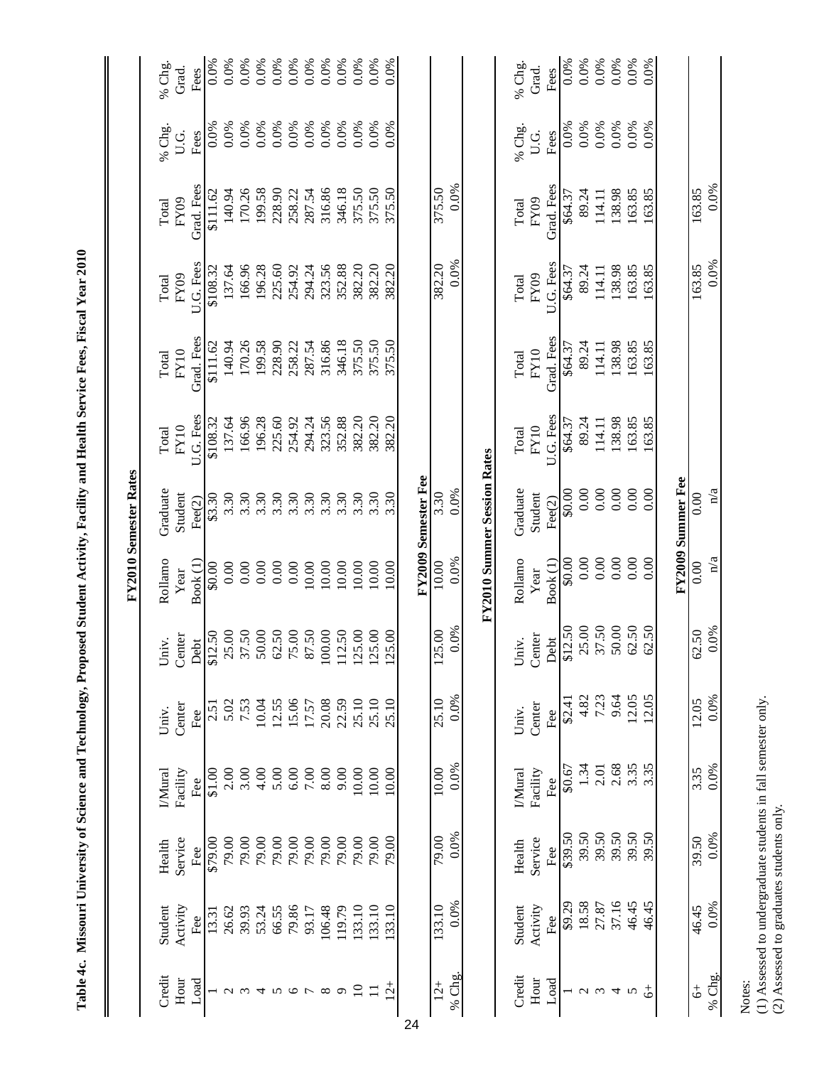|                       | % Chg.<br>Grad.       | Fees            | 0.0%            | 0.0%   | 0.0%             | 0.0%   | 0.0%   | 0.0%    | 0.0%                                                                                 | 0.0%     | 0.0%    | 0.0%            | 0.0%                         | 0.0%                   |    |                     |        |        |                                    | % Chg.        | Grad.        | Fees                | 0.0%    | 0.0%   | 0.0%       | 0.0%   | 0.0%   | 0.0%   |                   |               |        |
|-----------------------|-----------------------|-----------------|-----------------|--------|------------------|--------|--------|---------|--------------------------------------------------------------------------------------|----------|---------|-----------------|------------------------------|------------------------|----|---------------------|--------|--------|------------------------------------|---------------|--------------|---------------------|---------|--------|------------|--------|--------|--------|-------------------|---------------|--------|
|                       | % Chg.<br>U.G.        | Fees            | 0.0%            | 0.0%   | 0.0%             | 0.0%   | 0.0%   | 0.0%    | 0.0%                                                                                 | 0.0%     | 0.0%    | 0.0%            | 0.0%                         | 0.0%                   |    |                     |        |        |                                    | % Chg.        | U.G.         | Fees                | $0.0\%$ | 0.0%   | 0.0%       | 0.0%   | 0.0%   | 0.0%   |                   |               |        |
|                       | FY09<br>Total         | Grad. Fees      | \$111.62        | 140.94 | 170.26           | 199.58 | 228.90 | 258.22  | 287.54                                                                               | 316.86   | 346.18  | 375.50          | 375.50                       | 375.50                 |    |                     | 375.50 | 0.0%   |                                    | Total         | ${\rm FYO9}$ | Grad. Fees          | \$64.37 | 89.24  | 114.11     | 138.98 | 163.85 | 163.85 |                   | 163.85        | 0.0%   |
|                       | ${\rm FY09}$<br>Total | U.G. Fees       | \$108.32        | 137.64 | 166.96           | 196.28 | 225.60 | 254.92  | 294.24                                                                               | 323.56   | 352.88  | 382.20          | 382.20                       | 382.20                 |    |                     | 382.20 | 0.0%   |                                    | Total         | FY09         | U.G. Fees           | \$64.37 | 89.24  | 114.11     | 138.98 | 163.85 | 163.85 |                   | 163.85        | 0.0%   |
|                       | FY10<br>Total         | Grad. Fees      | \$111.62        | 140.94 | 170.26           | 199.58 | 228.90 | 258.22  | 287.54                                                                               | 316.86   | 346.18  | 375.50          | 375.50                       | 375.50                 |    |                     |        |        |                                    | Total         | FY10         | Grad. Fees          | \$64.37 | 89.24  | 114.11     | 138.98 | 163.85 | 163.85 |                   |               |        |
|                       | FY10<br>Total         | U.G. Fees       | \$108.32        | 137.64 | 166.96           | 196.28 | 225.60 | 254.92  | 294.24                                                                               | 323.56   | 352.88  | 382.20          | 382.20                       | 382.20                 |    |                     |        |        |                                    | Total         | FY10         | U.G. Fees           | \$64.37 | 89.24  | 114.11     | 138.98 | 163.85 | 163.85 |                   |               |        |
| FY2010 Semester Rates | Graduate<br>Student   | $\text{Fee}(2)$ | \$3.30          |        | $3.30$<br>$3.30$ | 3.30   | 3.30   | 3.30    | 3.30                                                                                 | 3.30     | 3.30    | 3.30            | 3.30                         | 3.30                   |    | FY2009 Semester Fee | 3.30   | 0.0%   | <b>FY2010 Summer Session Rates</b> | Graduate      | Student      | $\text{Fee}(2)$     | \$0.00  | 0.00   | 0.00       | 0.00   | 0.00   | 0.00   | FY2009 Summer Fee | 0.00          | n/a    |
|                       | Rollamo<br>Year       | Book (1)        | 0.00            | 0.00   | 0.00             | 0.00   | 0.00   | 0.00    | 10.00                                                                                | 10.00    | 10.00   | 10.00           | 10.00                        | 10.00                  |    |                     | 10.00  | 0.0%   |                                    | Rollamo       | Year         | Book <sub>(1)</sub> | \$0.00  | 0.00   | 0.00       | 0.00   | 0.00   | 0.00   |                   | 0.00          | n/a    |
|                       | Center<br>Univ.       |                 | Debt<br>\$12.50 |        |                  |        |        |         | $\begin{array}{c} 25.00 \\ 37.50 \\ 50.00 \\ 62.50 \\ 75.00 \\ 87.50 \\ \end{array}$ | 100.00   | 112.50  | 125.00          | 5.00<br>$\tilde{\mathbf{z}}$ | 5.00<br>$\overline{c}$ |    |                     | 125.00 | 0.0%   |                                    | Univ.         | Center       | Debt                | \$12.50 | 25.00  | 37.50      | 50.00  | 62.50  | 62.50  |                   | 62.50         | 0.0%   |
|                       | Center<br>Univ.       | Fee             | 2.5             | 5.02   | 7.53             | 10.04  | 12.55  | 15.06   | 17.57                                                                                | 20.08    | 22.59   | 25.10           | 25.10                        | 25.10                  |    |                     | 25.10  | 0.0%   |                                    | Univ.         | Center       | Fee                 | \$2.4]  | 4.82   | 7.23       | 9.64   | 12.05  | 12.05  |                   | 12.05         | 0.0%   |
|                       | Facility<br>IMural    | Fee             | \$1.00          | 2.00   | 3.00             | 4.00   | 5.00   | 6.00    | 7.00                                                                                 | 8.00     | 9.00    | 10.00           | 10.00                        | 10.00                  |    |                     | 10.00  | 0.0%   |                                    | <b>IMural</b> | Facility     | Fee                 | \$0.67  | 1.34   | 2.01       | 2.68   | 3.35   | 3.35   |                   | 3.35          | 0.0%   |
|                       | Service<br>Health     | Fee             | \$79.00         | 79.00  | 79.00            | 79.00  | 79.00  | 79.00   | 79.00                                                                                | 79.00    | 79.00   | 79.00           | 79.00                        | 79.00                  |    |                     | 79.00  | 0.0%   |                                    | Health        | Service      | Fee                 | \$39.50 | 39.50  | 39.50      | 39.50  | 39.50  | 39.50  |                   | 39.50         | 0.0%   |
|                       | Activity<br>Student   | Fee             | 13.31           | 26.62  | 39.93            | 53.24  | 66.55  | 79.86   | 93.17                                                                                | 106.48   | 119.79  | 133.10          | 133.10                       | 133.10                 |    |                     | 133.10 | 0.0%   |                                    | Student       | Activity     | Fee                 | \$9.29  | 18.58  | 27.87      | 37.16  | 46.45  | 46.45  |                   | 46.45         | 0.0%   |
|                       | Credit<br>Hour        | Load            |                 |        |                  |        |        | $\circ$ |                                                                                      | $\infty$ | $\circ$ | $\overline{10}$ | $\Box$                       | $12^{+}$               | 24 |                     | $12 +$ | % Chg. |                                    | Credit        | Hour         | Load                |         | $\sim$ | $\epsilon$ | 4      | 5      |        |                   | $\ddot{\phi}$ | % Chg. |

Table 4c. Missouri University of Science and Technology, Proposed Student Activity, Facility and Health Service Fees, Fiscal Year 2010  **Table 4c. Missouri University of Science and Technology, Proposed Student Activity, Facility and Health Service Fees, Fiscal Year 2010**

(1) Assessed to undergraduate students in fall semester only. (2) Assessed to graduates students only.